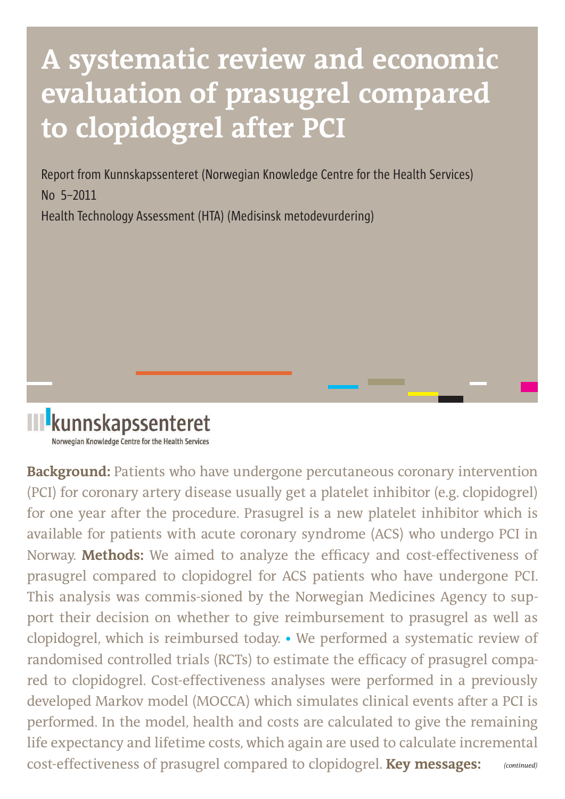# **A systematic review and economic evaluation of prasugrel compared to clopidogrel after PCI**

Report from Kunnskapssenteret (Norwegian Knowledge Centre for the Health Services) No 5–2011 Health Technology Assessment (HTA) (Medisinsk metodevurdering)



**Background:** Patients who have undergone percutaneous coronary intervention (PCI) for coronary artery disease usually get a platelet inhibitor (e.g. clopidogrel) for one year after the procedure. Prasugrel is a new platelet inhibitor which is available for patients with acute coronary syndrome (ACS) who undergo PCI in Norway. **Methods:** We aimed to analyze the efficacy and cost-effectiveness of prasugrel compared to clopidogrel for ACS patients who have undergone PCI. This analysis was commis-sioned by the Norwegian Medicines Agency to support their decision on whether to give reimbursement to prasugrel as well as clopidogrel, which is reimbursed today. **•** We performed a systematic review of randomised controlled trials (RCTs) to estimate the efficacy of prasugrel compared to clopidogrel. Cost-effectiveness analyses were performed in a previously developed Markov model (MOCCA) which simulates clinical events after a PCI is performed. In the model, health and costs are calculated to give the remaining life expectancy and lifetime costs, which again are used to calculate incremental cost-effectiveness of prasugrel compared to clopidogrel. **Key messages:**   *(continued)*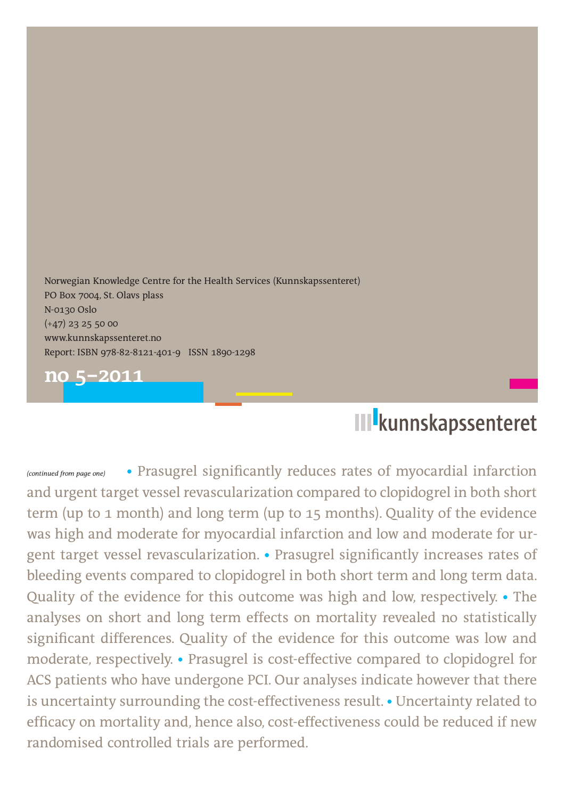Norwegian Knowledge Centre for the Health Services (Kunnskapssenteret) PO Box 7004, St. Olavs plass N-0130 Oslo (+47) 23 25 50 00 www.kunnskapssenteret.no Report: ISBN 978-82-8121-401-9 ISSN 1890-1298



## **III** kunnskapssenteret

• Prasugrel significantly reduces rates of myocardial infarction and urgent target vessel revascularization compared to clopidogrel in both short term (up to 1 month) and long term (up to 15 months). Quality of the evidence was high and moderate for myocardial infarction and low and moderate for urgent target vessel revascularization. • Prasugrel significantly increases rates of bleeding events compared to clopidogrel in both short term and long term data. Quality of the evidence for this outcome was high and low, respectively. **•** The analyses on short and long term effects on mortality revealed no statistically significant differences. Quality of the evidence for this outcome was low and moderate, respectively. **•** Prasugrel is cost-effective compared to clopidogrel for ACS patients who have undergone PCI. Our analyses indicate however that there is uncertainty surrounding the cost-effectiveness result. **•** Uncertainty related to efficacy on mortality and, hence also, cost-effectiveness could be reduced if new randomised controlled trials are performed. *(continued from page one)*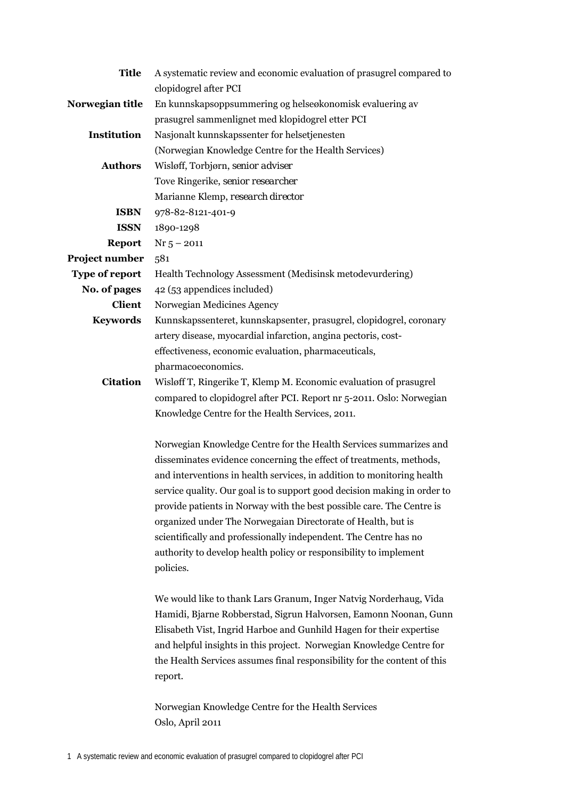| <b>Title</b>    | A systematic review and economic evaluation of prasugrel compared to     |
|-----------------|--------------------------------------------------------------------------|
|                 | clopidogrel after PCI                                                    |
| Norwegian title | En kunnskapsoppsummering og helseøkonomisk evaluering av                 |
|                 | prasugrel sammenlignet med klopidogrel etter PCI                         |
| Institution     | Nasjonalt kunnskapssenter for helsetjenesten                             |
|                 | (Norwegian Knowledge Centre for the Health Services)                     |
| <b>Authors</b>  | Wisløff, Torbjørn, senior adviser                                        |
|                 | Tove Ringerike, senior researcher                                        |
|                 | Marianne Klemp, research director                                        |
| <b>ISBN</b>     | 978-82-8121-401-9                                                        |
| <b>ISSN</b>     | 1890-1298                                                                |
| <b>Report</b>   | $Nr$ 5 - 2011                                                            |
| Project number  | 581                                                                      |
| Type of report  | Health Technology Assessment (Medisinsk metodevurdering)                 |
| No. of pages    | 42 (53 appendices included)                                              |
| <b>Client</b>   | Norwegian Medicines Agency                                               |
| <b>Keywords</b> | Kunnskapssenteret, kunnskapsenter, prasugrel, clopidogrel, coronary      |
|                 | artery disease, myocardial infarction, angina pectoris, cost-            |
|                 | effectiveness, economic evaluation, pharmaceuticals,                     |
|                 | pharmacoeconomics.                                                       |
| <b>Citation</b> | Wisløff T, Ringerike T, Klemp M. Economic evaluation of prasugrel        |
|                 | compared to clopidogrel after PCI. Report nr 5-2011. Oslo: Norwegian     |
|                 | Knowledge Centre for the Health Services, 2011.                          |
|                 | Norwegian Knowledge Centre for the Health Services summarizes and        |
|                 | disseminates evidence concerning the effect of treatments, methods,      |
|                 | and interventions in health services, in addition to monitoring health   |
|                 | service quality. Our goal is to support good decision making in order to |
|                 | provide patients in Norway with the best possible care. The Centre is    |
|                 | organized under The Norwegaian Directorate of Health, but is             |
|                 | scientifically and professionally independent. The Centre has no         |
|                 | authority to develop health policy or responsibility to implement        |
|                 | policies.                                                                |
|                 |                                                                          |
|                 | We would like to thank Lars Granum, Inger Natvig Norderhaug, Vida        |
|                 | Hamidi, Bjarne Robberstad, Sigrun Halvorsen, Eamonn Noonan, Gunn         |
|                 | Elisabeth Vist, Ingrid Harboe and Gunhild Hagen for their expertise      |
|                 | and helpful insights in this project. Norwegian Knowledge Centre for     |
|                 | the Health Services assumes final responsibility for the content of this |
|                 | report.                                                                  |
|                 |                                                                          |
|                 | Norwegian Knowledge Centre for the Health Services                       |
|                 | Oslo, April 2011                                                         |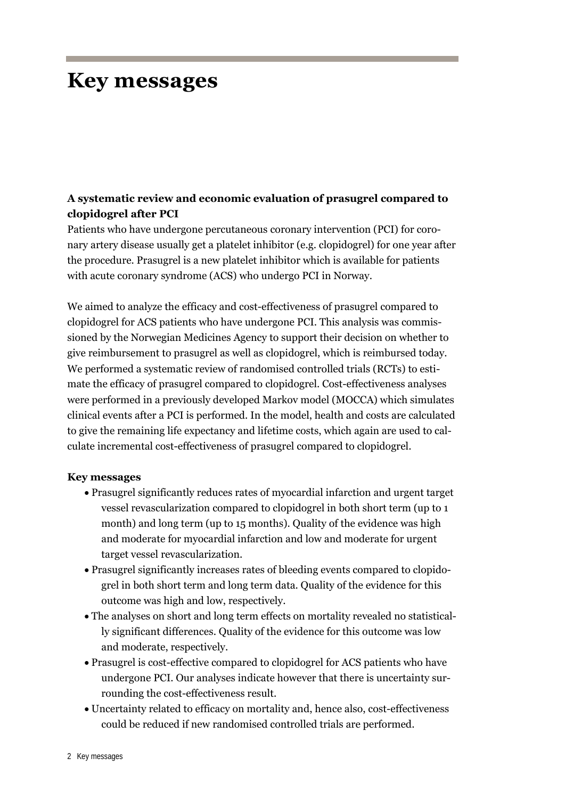## **Key messages**

## **A systematic review and economic evaluation of prasugrel compared to clopidogrel after PCI**

Patients who have undergone percutaneous coronary intervention (PCI) for coronary artery disease usually get a platelet inhibitor (e.g. clopidogrel) for one year after the procedure. Prasugrel is a new platelet inhibitor which is available for patients with acute coronary syndrome (ACS) who undergo PCI in Norway.

We aimed to analyze the efficacy and cost-effectiveness of prasugrel compared to clopidogrel for ACS patients who have undergone PCI. This analysis was commissioned by the Norwegian Medicines Agency to support their decision on whether to give reimbursement to prasugrel as well as clopidogrel, which is reimbursed today. We performed a systematic review of randomised controlled trials (RCTs) to estimate the efficacy of prasugrel compared to clopidogrel. Cost-effectiveness analyses were performed in a previously developed Markov model (MOCCA) which simulates clinical events after a PCI is performed. In the model, health and costs are calculated to give the remaining life expectancy and lifetime costs, which again are used to calculate incremental cost-effectiveness of prasugrel compared to clopidogrel.

#### **Key messages**

- Prasugrel significantly reduces rates of myocardial infarction and urgent target vessel revascularization compared to clopidogrel in both short term (up to 1 month) and long term (up to 15 months). Quality of the evidence was high and moderate for myocardial infarction and low and moderate for urgent target vessel revascularization.
- Prasugrel significantly increases rates of bleeding events compared to clopidogrel in both short term and long term data. Quality of the evidence for this outcome was high and low, respectively.
- The analyses on short and long term effects on mortality revealed no statistically significant differences. Quality of the evidence for this outcome was low and moderate, respectively.
- Prasugrel is cost-effective compared to clopidogrel for ACS patients who have undergone PCI. Our analyses indicate however that there is uncertainty surrounding the cost-effectiveness result.
- Uncertainty related to efficacy on mortality and, hence also, cost-effectiveness could be reduced if new randomised controlled trials are performed.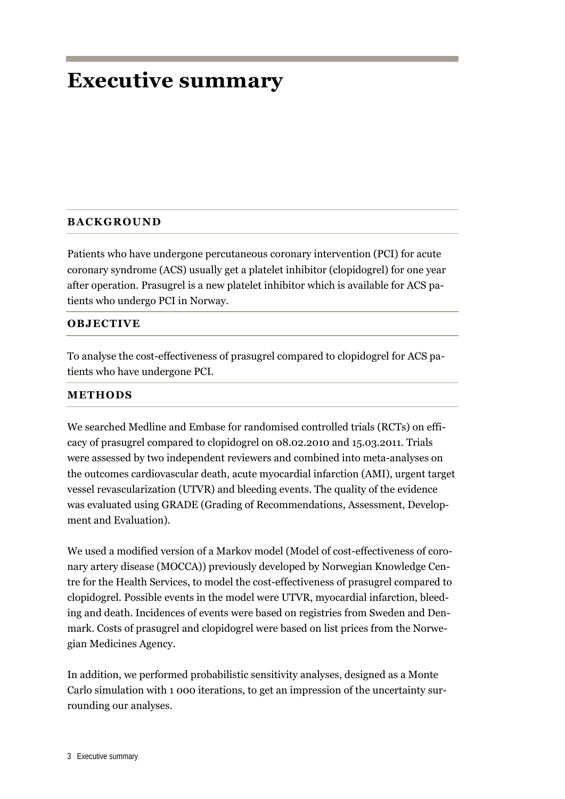## **Executive summary**

#### **BACKGROUND**

Patients who have undergone percutaneous coronary intervention (PCI) for acute coronary syndrome (ACS) usually get a platelet inhibitor (clopidogrel) for one year after operation. Prasugrel is a new platelet inhibitor which is available for ACS patients who undergo PCI in Norway.

#### **OBJECTIVE**

To analyse the cost-effectiveness of prasugrel compared to clopidogrel for ACS patients who have undergone PCI.

#### **METHODS**

We searched Medline and Embase for randomised controlled trials (RCTs) on efficacy of prasugrel compared to clopidogrel on 08.02.2010 and 15.03.2011. Trials were assessed by two independent reviewers and combined into meta-analyses on the outcomes cardiovascular death, acute myocardial infarction (AMI), urgent target vessel revascularization (UTVR) and bleeding events. The quality of the evidence was evaluated using GRADE (Grading of Recommendations, Assessment, Development and Evaluation).

We used a modified version of a Markov model (Model of cost-effectiveness of coronary artery disease (MOCCA)) previously developed by Norwegian Knowledge Centre for the Health Services, to model the cost-effectiveness of prasugrel compared to clopidogrel. Possible events in the model were UTVR, myocardial infarction, bleeding and death. Incidences of events were based on registries from Sweden and Denmark. Costs of prasugrel and clopidogrel were based on list prices from the Norwegian Medicines Agency.

In addition, we performed probabilistic sensitivity analyses, designed as a Monte Carlo simulation with 1 000 iterations, to get an impression of the uncertainty surrounding our analyses.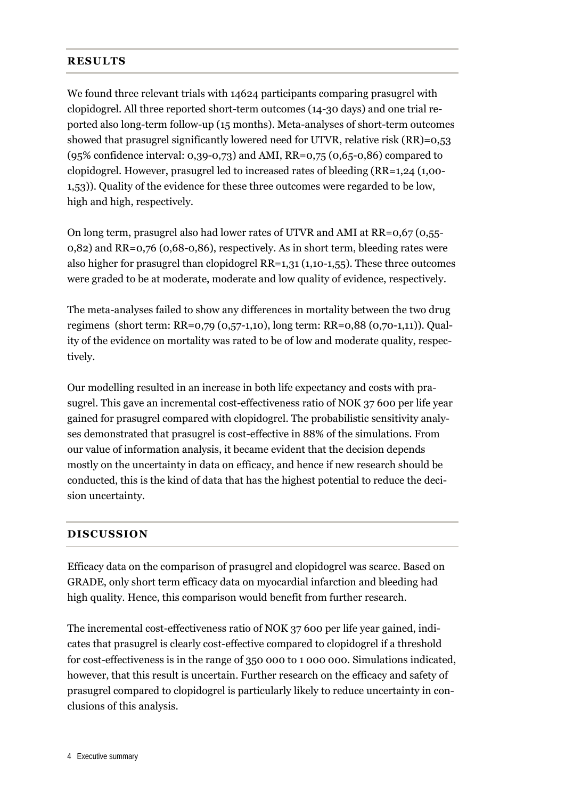#### **RESULTS**

We found three relevant trials with 14624 participants comparing prasugrel with clopidogrel. All three reported short-term outcomes (14-30 days) and one trial reported also long-term follow-up (15 months). Meta-analyses of short-term outcomes showed that prasugrel significantly lowered need for UTVR, relative risk (RR)=0,53 (95% confidence interval: 0,39-0,73) and AMI, RR=0,75 (0,65-0,86) compared to clopidogrel. However, prasugrel led to increased rates of bleeding (RR=1,24 (1,00- 1,53)). Quality of the evidence for these three outcomes were regarded to be low, high and high, respectively.

On long term, prasugrel also had lower rates of UTVR and AMI at RR=0,67 (0,55- 0,82) and RR=0,76 (0,68-0,86), respectively. As in short term, bleeding rates were also higher for prasugrel than clopidogrel RR=1,31 (1,10-1,55). These three outcomes were graded to be at moderate, moderate and low quality of evidence, respectively.

The meta-analyses failed to show any differences in mortality between the two drug regimens (short term: RR=0,79 (0,57-1,10), long term: RR=0,88 (0,70-1,11)). Quality of the evidence on mortality was rated to be of low and moderate quality, respectively.

Our modelling resulted in an increase in both life expectancy and costs with prasugrel. This gave an incremental cost-effectiveness ratio of NOK 37 600 per life year gained for prasugrel compared with clopidogrel. The probabilistic sensitivity analyses demonstrated that prasugrel is cost-effective in 88% of the simulations. From our value of information analysis, it became evident that the decision depends mostly on the uncertainty in data on efficacy, and hence if new research should be conducted, this is the kind of data that has the highest potential to reduce the decision uncertainty.

### **DISCUSSION**

Efficacy data on the comparison of prasugrel and clopidogrel was scarce. Based on GRADE, only short term efficacy data on myocardial infarction and bleeding had high quality. Hence, this comparison would benefit from further research.

The incremental cost-effectiveness ratio of NOK 37 600 per life year gained, indicates that prasugrel is clearly cost-effective compared to clopidogrel if a threshold for cost-effectiveness is in the range of 350 000 to 1 000 000. Simulations indicated, however, that this result is uncertain. Further research on the efficacy and safety of prasugrel compared to clopidogrel is particularly likely to reduce uncertainty in conclusions of this analysis.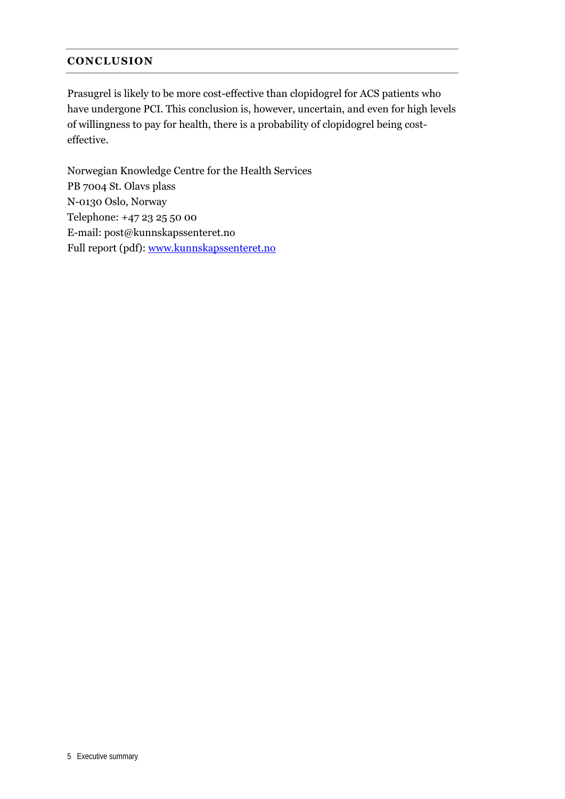#### **CONCLUSION**

Prasugrel is likely to be more cost-effective than clopidogrel for ACS patients who have undergone PCI. This conclusion is, however, uncertain, and even for high levels of willingness to pay for health, there is a probability of clopidogrel being costeffective.

Norwegian Knowledge Centre for the Health Services PB 7004 St. Olavs plass N-0130 Oslo, Norway Telephone: +47 23 25 50 00 E-mail: post@kunnskapssenteret.no Full report (pdf): www.kunnskapssenteret.no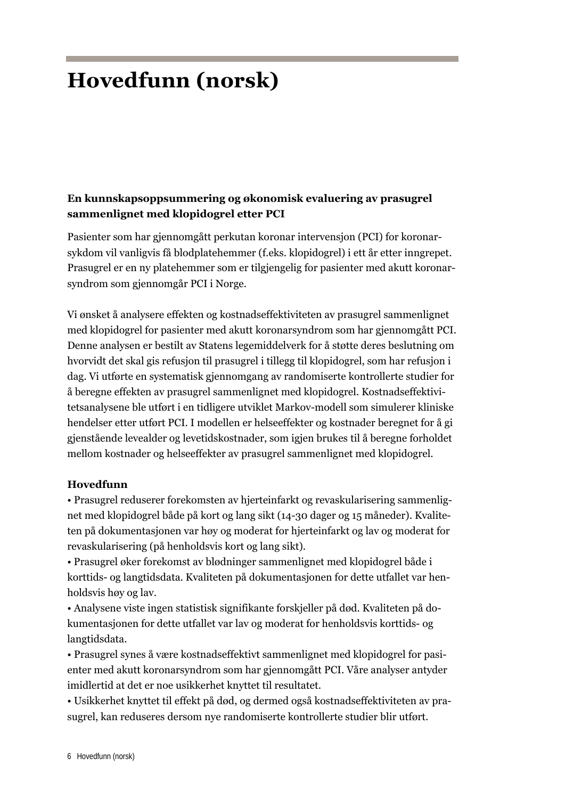## **Hovedfunn (norsk)**

### **En kunnskapsoppsummering og økonomisk evaluering av prasugrel sammenlignet med klopidogrel etter PCI**

Pasienter som har gjennomgått perkutan koronar intervensjon (PCI) for koronarsykdom vil vanligvis få blodplatehemmer (f.eks. klopidogrel) i ett år etter inngrepet. Prasugrel er en ny platehemmer som er tilgjengelig for pasienter med akutt koronarsyndrom som gjennomgår PCI i Norge.

Vi ønsket å analysere effekten og kostnadseffektiviteten av prasugrel sammenlignet med klopidogrel for pasienter med akutt koronarsyndrom som har gjennomgått PCI. Denne analysen er bestilt av Statens legemiddelverk for å støtte deres beslutning om hvorvidt det skal gis refusjon til prasugrel i tillegg til klopidogrel, som har refusjon i dag. Vi utførte en systematisk gjennomgang av randomiserte kontrollerte studier for å beregne effekten av prasugrel sammenlignet med klopidogrel. Kostnadseffektivitetsanalysene ble utført i en tidligere utviklet Markov-modell som simulerer kliniske hendelser etter utført PCI. I modellen er helseeffekter og kostnader beregnet for å gi gjenstående levealder og levetidskostnader, som igjen brukes til å beregne forholdet mellom kostnader og helseeffekter av prasugrel sammenlignet med klopidogrel.

#### **Hovedfunn**

• Prasugrel reduserer forekomsten av hjerteinfarkt og revaskularisering sammenlignet med klopidogrel både på kort og lang sikt (14-30 dager og 15 måneder). Kvaliteten på dokumentasjonen var høy og moderat for hjerteinfarkt og lav og moderat for revaskularisering (på henholdsvis kort og lang sikt).

• Prasugrel øker forekomst av blødninger sammenlignet med klopidogrel både i korttids- og langtidsdata. Kvaliteten på dokumentasjonen for dette utfallet var henholdsvis høy og lav.

• Analysene viste ingen statistisk signifikante forskjeller på død. Kvaliteten på dokumentasjonen for dette utfallet var lav og moderat for henholdsvis korttids- og langtidsdata.

• Prasugrel synes å være kostnadseffektivt sammenlignet med klopidogrel for pasienter med akutt koronarsyndrom som har gjennomgått PCI. Våre analyser antyder imidlertid at det er noe usikkerhet knyttet til resultatet.

• Usikkerhet knyttet til effekt på død, og dermed også kostnadseffektiviteten av prasugrel, kan reduseres dersom nye randomiserte kontrollerte studier blir utført.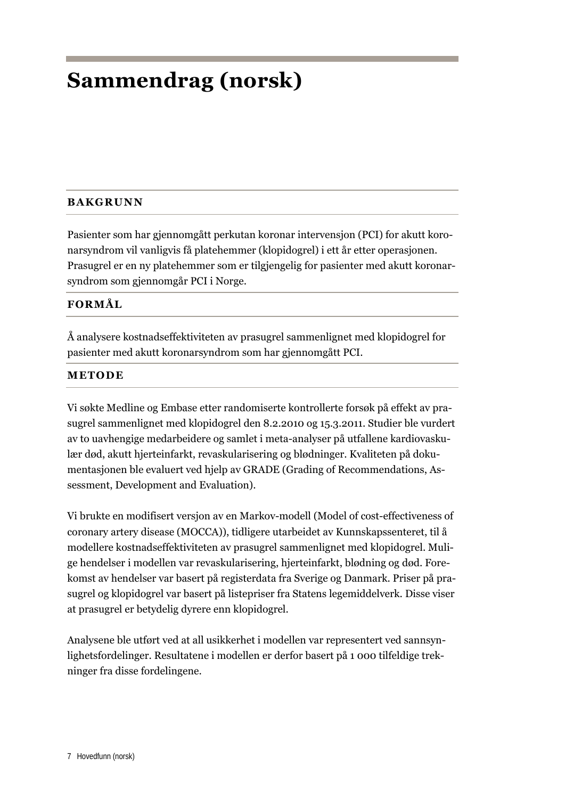## **Sammendrag (norsk)**

### **BAKGRUNN**

Pasienter som har gjennomgått perkutan koronar intervensjon (PCI) for akutt koronarsyndrom vil vanligvis få platehemmer (klopidogrel) i ett år etter operasjonen. Prasugrel er en ny platehemmer som er tilgjengelig for pasienter med akutt koronarsyndrom som gjennomgår PCI i Norge.

#### **FORMÅL**

Å analysere kostnadseffektiviteten av prasugrel sammenlignet med klopidogrel for pasienter med akutt koronarsyndrom som har gjennomgått PCI.

#### **METODE**

Vi søkte Medline og Embase etter randomiserte kontrollerte forsøk på effekt av prasugrel sammenlignet med klopidogrel den 8.2.2010 og 15.3.2011. Studier ble vurdert av to uavhengige medarbeidere og samlet i meta-analyser på utfallene kardiovaskulær død, akutt hjerteinfarkt, revaskularisering og blødninger. Kvaliteten på dokumentasjonen ble evaluert ved hjelp av GRADE (Grading of Recommendations, Assessment, Development and Evaluation).

Vi brukte en modifisert versjon av en Markov-modell (Model of cost-effectiveness of coronary artery disease (MOCCA)), tidligere utarbeidet av Kunnskapssenteret, til å modellere kostnadseffektiviteten av prasugrel sammenlignet med klopidogrel. Mulige hendelser i modellen var revaskularisering, hjerteinfarkt, blødning og død. Forekomst av hendelser var basert på registerdata fra Sverige og Danmark. Priser på prasugrel og klopidogrel var basert på listepriser fra Statens legemiddelverk. Disse viser at prasugrel er betydelig dyrere enn klopidogrel.

Analysene ble utført ved at all usikkerhet i modellen var representert ved sannsynlighetsfordelinger. Resultatene i modellen er derfor basert på 1 000 tilfeldige trekninger fra disse fordelingene.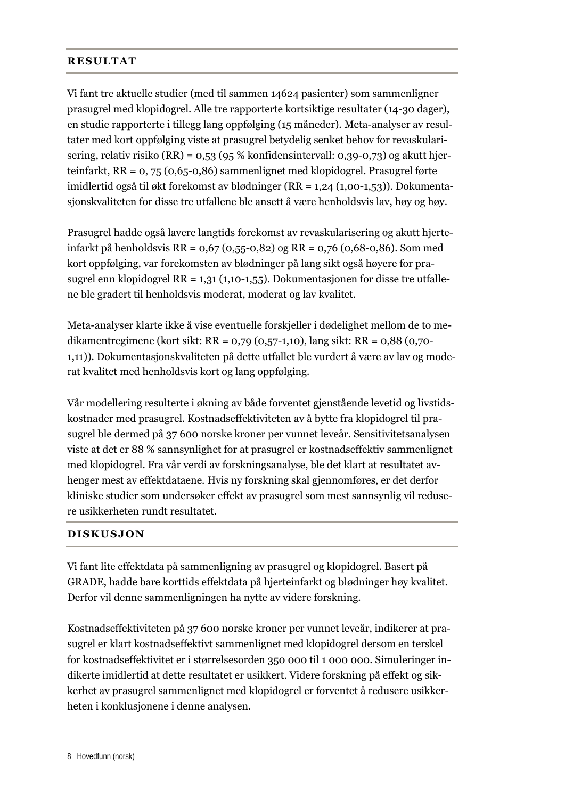#### **RESULTAT**

Vi fant tre aktuelle studier (med til sammen 14624 pasienter) som sammenligner prasugrel med klopidogrel. Alle tre rapporterte kortsiktige resultater (14-30 dager), en studie rapporterte i tillegg lang oppfølging (15 måneder). Meta-analyser av resultater med kort oppfølging viste at prasugrel betydelig senket behov for revaskularisering, relativ risiko (RR) = 0,53 (95 % konfidensintervall: 0,39-0,73) og akutt hjerteinfarkt, RR = 0, 75 (0,65-0,86) sammenlignet med klopidogrel. Prasugrel førte imidlertid også til økt forekomst av blødninger (RR = 1,24 (1,00-1,53)). Dokumentasjonskvaliteten for disse tre utfallene ble ansett å være henholdsvis lav, høy og høy.

Prasugrel hadde også lavere langtids forekomst av revaskularisering og akutt hjerteinfarkt på henholdsvis RR = 0,67 (0,55-0,82) og RR = 0,76 (0,68-0,86). Som med kort oppfølging, var forekomsten av blødninger på lang sikt også høyere for prasugrel enn klopidogrel RR = 1,31 (1,10-1,55). Dokumentasjonen for disse tre utfallene ble gradert til henholdsvis moderat, moderat og lav kvalitet.

Meta-analyser klarte ikke å vise eventuelle forskjeller i dødelighet mellom de to medikamentregimene (kort sikt: RR = 0,79 (0,57-1,10), lang sikt: RR = 0,88 (0,70- 1,11)). Dokumentasjonskvaliteten på dette utfallet ble vurdert å være av lav og moderat kvalitet med henholdsvis kort og lang oppfølging.

Vår modellering resulterte i økning av både forventet gjenstående levetid og livstidskostnader med prasugrel. Kostnadseffektiviteten av å bytte fra klopidogrel til prasugrel ble dermed på 37 600 norske kroner per vunnet leveår. Sensitivitetsanalysen viste at det er 88 % sannsynlighet for at prasugrel er kostnadseffektiv sammenlignet med klopidogrel. Fra vår verdi av forskningsanalyse, ble det klart at resultatet avhenger mest av effektdataene. Hvis ny forskning skal gjennomføres, er det derfor kliniske studier som undersøker effekt av prasugrel som mest sannsynlig vil redusere usikkerheten rundt resultatet.

#### **DISKUSJON**

Vi fant lite effektdata på sammenligning av prasugrel og klopidogrel. Basert på GRADE, hadde bare korttids effektdata på hjerteinfarkt og blødninger høy kvalitet. Derfor vil denne sammenligningen ha nytte av videre forskning.

Kostnadseffektiviteten på 37 600 norske kroner per vunnet leveår, indikerer at prasugrel er klart kostnadseffektivt sammenlignet med klopidogrel dersom en terskel for kostnadseffektivitet er i størrelsesorden 350 000 til 1 000 000. Simuleringer indikerte imidlertid at dette resultatet er usikkert. Videre forskning på effekt og sikkerhet av prasugrel sammenlignet med klopidogrel er forventet å redusere usikkerheten i konklusjonene i denne analysen.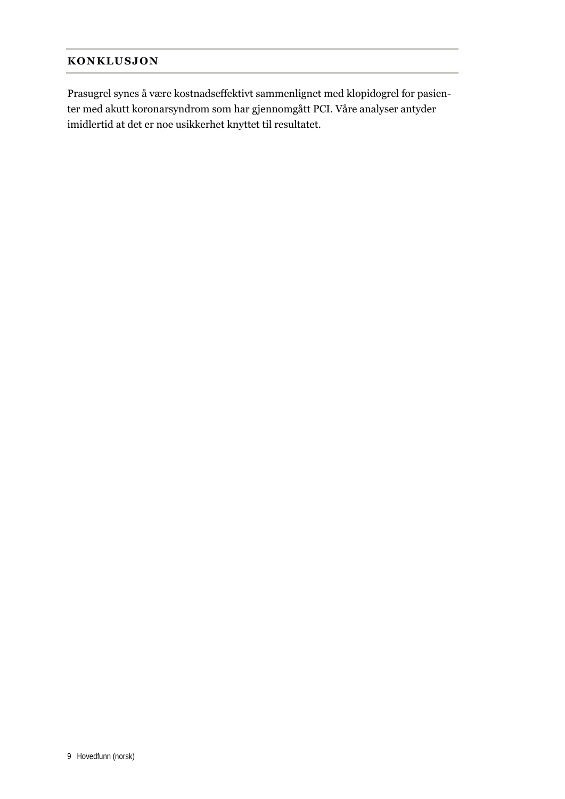#### **KONKLUSJON**

Prasugrel synes å være kostnadseffektivt sammenlignet med klopidogrel for pasienter med akutt koronarsyndrom som har gjennomgått PCI. Våre analyser antyder imidlertid at det er noe usikkerhet knyttet til resultatet.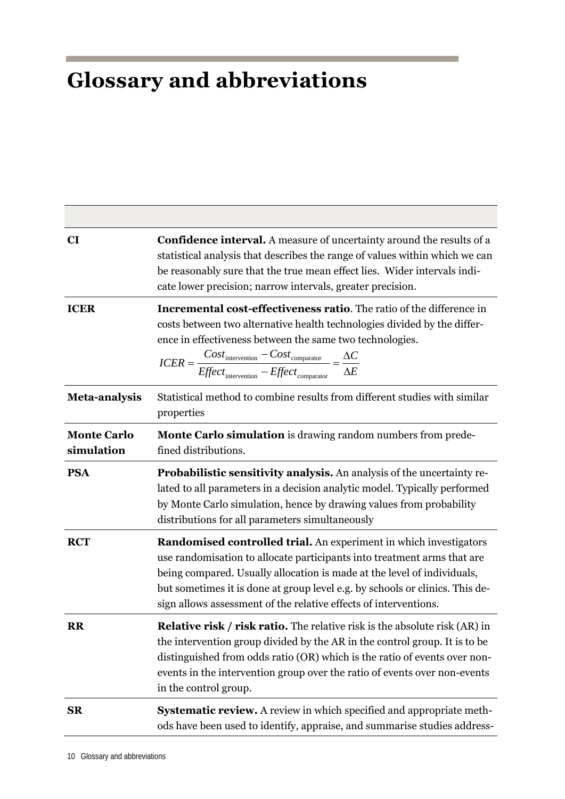## **Glossary and abbreviations**

| CI                               | <b>Confidence interval.</b> A measure of uncertainty around the results of a<br>statistical analysis that describes the range of values within which we can<br>be reasonably sure that the true mean effect lies. Wider intervals indi-<br>cate lower precision; narrow intervals, greater precision.                                                                                                                     |
|----------------------------------|---------------------------------------------------------------------------------------------------------------------------------------------------------------------------------------------------------------------------------------------------------------------------------------------------------------------------------------------------------------------------------------------------------------------------|
| <b>ICER</b>                      | Incremental cost-effectiveness ratio. The ratio of the difference in<br>costs between two alternative health technologies divided by the differ-<br>ence in effectiveness between the same two technologies.<br>$\textit{ICER} = \frac{\textit{Cost}_{\text{intervention}} - \textit{Cost}_{\text{comparator}}}{\textit{Effect}_{\text{intervention}} - \textit{Effect}_{\text{comparator}}} = \frac{\Delta C}{\Delta E}$ |
| <b>Meta-analysis</b>             | Statistical method to combine results from different studies with similar<br>properties                                                                                                                                                                                                                                                                                                                                   |
| <b>Monte Carlo</b><br>simulation | <b>Monte Carlo simulation</b> is drawing random numbers from prede-<br>fined distributions.                                                                                                                                                                                                                                                                                                                               |
| <b>PSA</b>                       | <b>Probabilistic sensitivity analysis.</b> An analysis of the uncertainty re-<br>lated to all parameters in a decision analytic model. Typically performed<br>by Monte Carlo simulation, hence by drawing values from probability<br>distributions for all parameters simultaneously                                                                                                                                      |
| <b>RCT</b>                       | Randomised controlled trial. An experiment in which investigators<br>use randomisation to allocate participants into treatment arms that are<br>being compared. Usually allocation is made at the level of individuals,<br>but sometimes it is done at group level e.g. by schools or clinics. This de-<br>sign allows assessment of the relative effects of interventions.                                               |
| <b>RR</b>                        | <b>Relative risk / risk ratio.</b> The relative risk is the absolute risk (AR) in<br>the intervention group divided by the AR in the control group. It is to be<br>distinguished from odds ratio (OR) which is the ratio of events over non-<br>events in the intervention group over the ratio of events over non-events<br>in the control group.                                                                        |
| <b>SR</b>                        | Systematic review. A review in which specified and appropriate meth-<br>ods have been used to identify, appraise, and summarise studies address-                                                                                                                                                                                                                                                                          |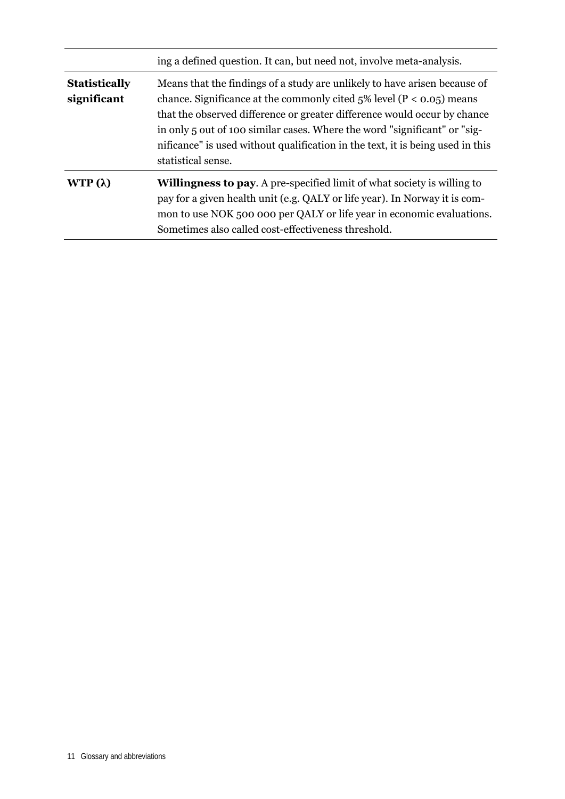|                                     | ing a defined question. It can, but need not, involve meta-analysis.                                                                                                                                                                                                                                                                                                                                                  |
|-------------------------------------|-----------------------------------------------------------------------------------------------------------------------------------------------------------------------------------------------------------------------------------------------------------------------------------------------------------------------------------------------------------------------------------------------------------------------|
| <b>Statistically</b><br>significant | Means that the findings of a study are unlikely to have arisen because of<br>chance. Significance at the commonly cited $5\%$ level (P < 0.05) means<br>that the observed difference or greater difference would occur by chance<br>in only 5 out of 100 similar cases. Where the word "significant" or "sig-<br>nificance" is used without qualification in the text, it is being used in this<br>statistical sense. |
| WTP $(\lambda)$                     | <b>Willingness to pay.</b> A pre-specified limit of what society is willing to<br>pay for a given health unit (e.g. QALY or life year). In Norway it is com-<br>mon to use NOK 500 000 per QALY or life year in economic evaluations.<br>Sometimes also called cost-effectiveness threshold.                                                                                                                          |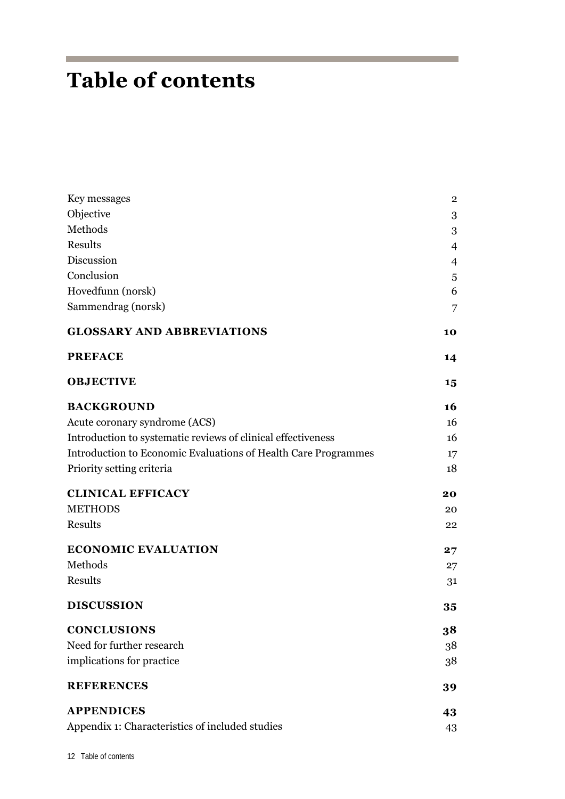## **Table of contents**

| Key messages                                                   | $\overline{2}$ |
|----------------------------------------------------------------|----------------|
| Objective                                                      | 3              |
| Methods                                                        | 3              |
| Results                                                        | 4              |
| Discussion                                                     | 4              |
| Conclusion                                                     | 5              |
| Hovedfunn (norsk)                                              | 6              |
| Sammendrag (norsk)                                             | 7              |
| <b>GLOSSARY AND ABBREVIATIONS</b>                              | 10             |
| <b>PREFACE</b>                                                 | 14             |
| <b>OBJECTIVE</b>                                               | 15             |
| <b>BACKGROUND</b>                                              | 16             |
| Acute coronary syndrome (ACS)                                  | 16             |
| Introduction to systematic reviews of clinical effectiveness   | 16             |
| Introduction to Economic Evaluations of Health Care Programmes | 17             |
| Priority setting criteria                                      | 18             |
| <b>CLINICAL EFFICACY</b>                                       | 20             |
| <b>METHODS</b>                                                 | 20             |
| Results                                                        | 22             |
| <b>ECONOMIC EVALUATION</b>                                     | 27             |
| Methods                                                        | 27             |
| Results                                                        | 31             |
| <b>DISCUSSION</b>                                              | 35             |
| <b>CONCLUSIONS</b>                                             | 38             |
| Need for further research                                      | 38             |
| implications for practice                                      | 38             |
| <b>REFERENCES</b>                                              | 39             |
| <b>APPENDICES</b>                                              | 43             |
| Appendix 1: Characteristics of included studies                | 43             |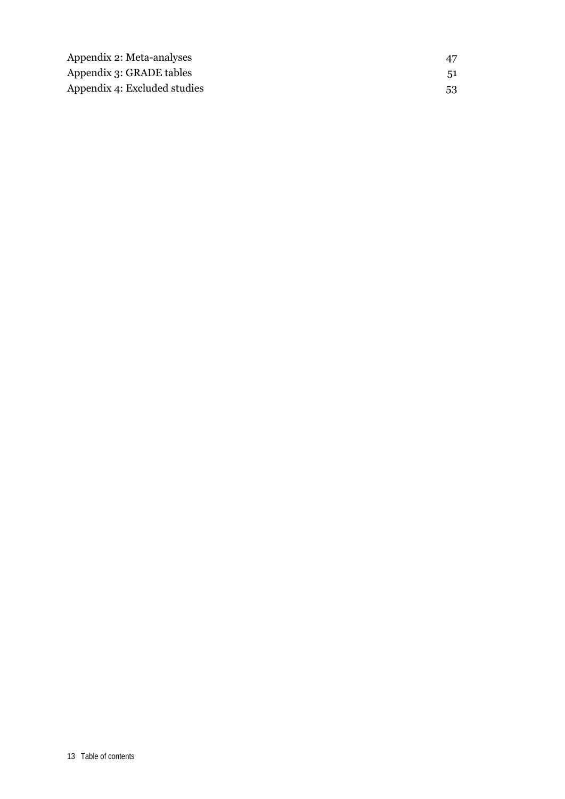| Appendix 2: Meta-analyses    | 47  |
|------------------------------|-----|
| Appendix 3: GRADE tables     | .51 |
| Appendix 4: Excluded studies | 53  |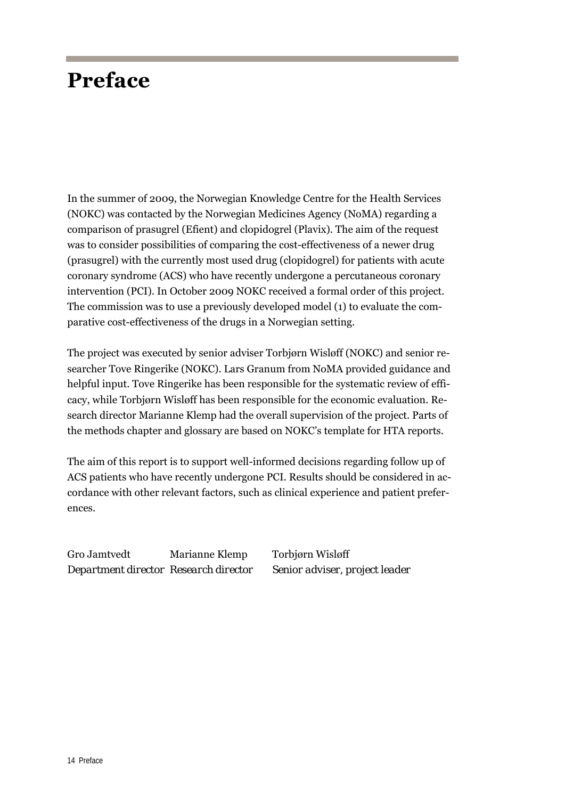## **Preface**

In the summer of 2009, the Norwegian Knowledge Centre for the Health Services (NOKC) was contacted by the Norwegian Medicines Agency (NoMA) regarding a comparison of prasugrel (Efient) and clopidogrel (Plavix). The aim of the request was to consider possibilities of comparing the cost-effectiveness of a newer drug (prasugrel) with the currently most used drug (clopidogrel) for patients with acute coronary syndrome (ACS) who have recently undergone a percutaneous coronary intervention (PCI). In October 2009 NOKC received a formal order of this project. The commission was to use a previously developed model (1) to evaluate the comparative cost-effectiveness of the drugs in a Norwegian setting.

The project was executed by senior adviser Torbjørn Wisløff (NOKC) and senior researcher Tove Ringerike (NOKC). Lars Granum from NoMA provided guidance and helpful input. Tove Ringerike has been responsible for the systematic review of efficacy, while Torbjørn Wisløff has been responsible for the economic evaluation. Research director Marianne Klemp had the overall supervision of the project. Parts of the methods chapter and glossary are based on NOKC's template for HTA reports.

The aim of this report is to support well-informed decisions regarding follow up of ACS patients who have recently undergone PCI. Results should be considered in accordance with other relevant factors, such as clinical experience and patient preferences.

Gro Jamtvedt Marianne Klemp Torbjørn Wisløff *Department director Research director Senior adviser, project leader*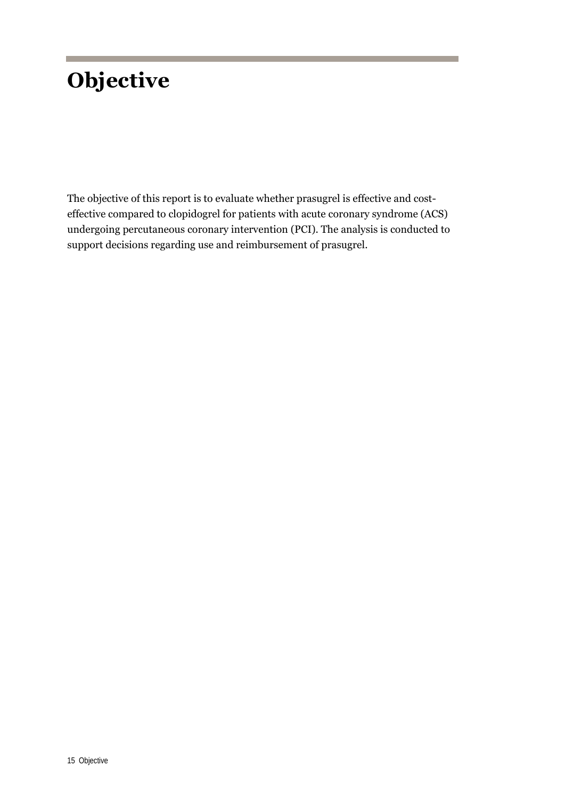## **Objective**

The objective of this report is to evaluate whether prasugrel is effective and costeffective compared to clopidogrel for patients with acute coronary syndrome (ACS) undergoing percutaneous coronary intervention (PCI). The analysis is conducted to support decisions regarding use and reimbursement of prasugrel.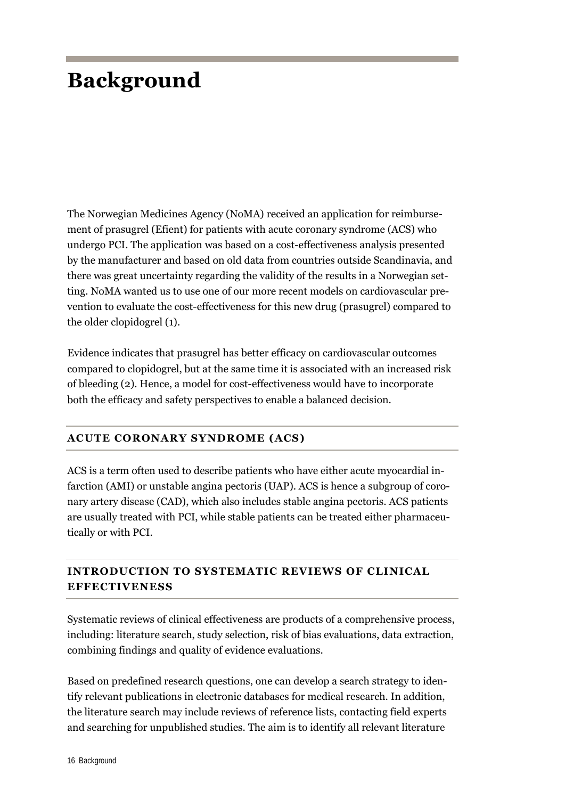## **Background**

The Norwegian Medicines Agency (NoMA) received an application for reimbursement of prasugrel (Efient) for patients with acute coronary syndrome (ACS) who undergo PCI. The application was based on a cost-effectiveness analysis presented by the manufacturer and based on old data from countries outside Scandinavia, and there was great uncertainty regarding the validity of the results in a Norwegian setting. NoMA wanted us to use one of our more recent models on cardiovascular prevention to evaluate the cost-effectiveness for this new drug (prasugrel) compared to the older clopidogrel (1).

Evidence indicates that prasugrel has better efficacy on cardiovascular outcomes compared to clopidogrel, but at the same time it is associated with an increased risk of bleeding (2). Hence, a model for cost-effectiveness would have to incorporate both the efficacy and safety perspectives to enable a balanced decision.

### **ACUTE CORONARY SYNDROME (ACS)**

ACS is a term often used to describe patients who have either acute myocardial infarction (AMI) or unstable angina pectoris (UAP). ACS is hence a subgroup of coronary artery disease (CAD), which also includes stable angina pectoris. ACS patients are usually treated with PCI, while stable patients can be treated either pharmaceutically or with PCI.

## **INTRODUCTION TO SYSTEMATIC REVIEWS OF CLINICAL EFFECTIVENESS**

Systematic reviews of clinical effectiveness are products of a comprehensive process, including: literature search, study selection, risk of bias evaluations, data extraction, combining findings and quality of evidence evaluations.

Based on predefined research questions, one can develop a search strategy to identify relevant publications in electronic databases for medical research. In addition, the literature search may include reviews of reference lists, contacting field experts and searching for unpublished studies. The aim is to identify all relevant literature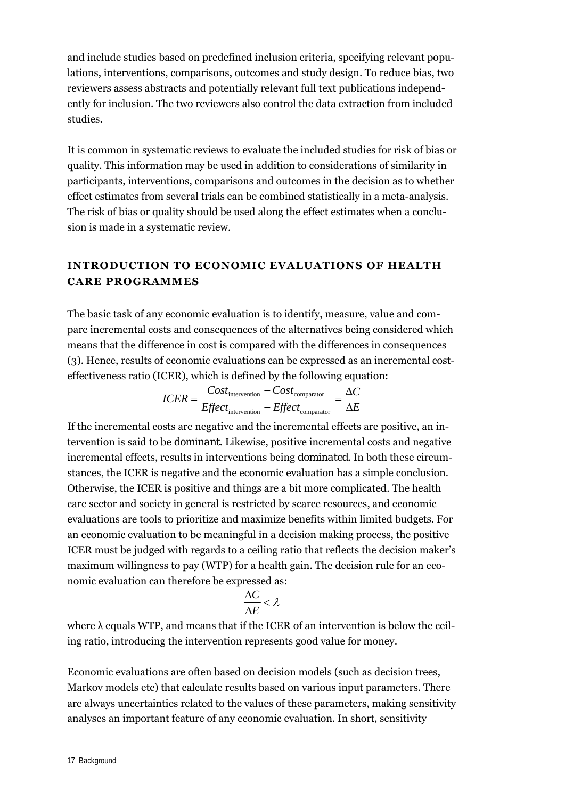and include studies based on predefined inclusion criteria, specifying relevant populations, interventions, comparisons, outcomes and study design. To reduce bias, two reviewers assess abstracts and potentially relevant full text publications independently for inclusion. The two reviewers also control the data extraction from included studies.

It is common in systematic reviews to evaluate the included studies for risk of bias or quality. This information may be used in addition to considerations of similarity in participants, interventions, comparisons and outcomes in the decision as to whether effect estimates from several trials can be combined statistically in a meta-analysis. The risk of bias or quality should be used along the effect estimates when a conclusion is made in a systematic review.

### **INTRODUCTION TO ECONOMIC EVALUATIONS OF HEALTH CARE PROGRAMMES**

The basic task of any economic evaluation is to identify, measure, value and compare incremental costs and consequences of the alternatives being considered which means that the difference in cost is compared with the differences in consequences (3). Hence, results of economic evaluations can be expressed as an incremental costeffectiveness ratio (ICER), which is defined by the following equation:

$$
ICER = \frac{Cost_{\text{intervention}} - Cost_{\text{comparator}}}{Effect_{\text{intervention}} - Effect_{\text{comparator}}} = \frac{\Delta C}{\Delta E}
$$

If the incremental costs are negative and the incremental effects are positive, an intervention is said to be *dominant*. Likewise, positive incremental costs and negative incremental effects, results in interventions being *dominated*. In both these circumstances, the ICER is negative and the economic evaluation has a simple conclusion. Otherwise, the ICER is positive and things are a bit more complicated. The health care sector and society in general is restricted by scarce resources, and economic evaluations are tools to prioritize and maximize benefits within limited budgets. For an economic evaluation to be meaningful in a decision making process, the positive ICER must be judged with regards to a ceiling ratio that reflects the decision maker's maximum willingness to pay (WTP) for a health gain. The decision rule for an economic evaluation can therefore be expressed as:

$$
\frac{\Delta C}{\Delta E} < \lambda
$$

where  $\lambda$  equals WTP, and means that if the ICER of an intervention is below the ceiling ratio, introducing the intervention represents good value for money.

Economic evaluations are often based on decision models (such as decision trees, Markov models etc) that calculate results based on various input parameters. There are always uncertainties related to the values of these parameters, making sensitivity analyses an important feature of any economic evaluation. In short, sensitivity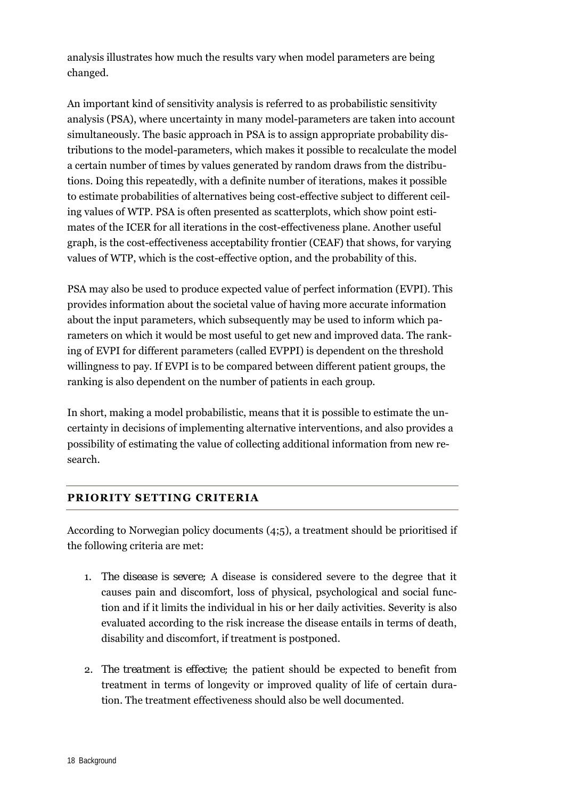analysis illustrates how much the results vary when model parameters are being changed.

An important kind of sensitivity analysis is referred to as probabilistic sensitivity analysis (PSA), where uncertainty in many model-parameters are taken into account simultaneously. The basic approach in PSA is to assign appropriate probability distributions to the model-parameters, which makes it possible to recalculate the model a certain number of times by values generated by random draws from the distributions. Doing this repeatedly, with a definite number of iterations, makes it possible to estimate probabilities of alternatives being cost-effective subject to different ceiling values of WTP. PSA is often presented as scatterplots, which show point estimates of the ICER for all iterations in the cost-effectiveness plane. Another useful graph, is the cost-effectiveness acceptability frontier (CEAF) that shows, for varying values of WTP, which is the cost-effective option, and the probability of this.

PSA may also be used to produce expected value of perfect information (EVPI). This provides information about the societal value of having more accurate information about the input parameters, which subsequently may be used to inform which parameters on which it would be most useful to get new and improved data. The ranking of EVPI for different parameters (called EVPPI) is dependent on the threshold willingness to pay. If EVPI is to be compared between different patient groups, the ranking is also dependent on the number of patients in each group.

In short, making a model probabilistic, means that it is possible to estimate the uncertainty in decisions of implementing alternative interventions, and also provides a possibility of estimating the value of collecting additional information from new research.

### **PRIORITY SETTING CRITERIA**

According to Norwegian policy documents (4;5), a treatment should be prioritised if the following criteria are met:

- 1. *The disease is severe;* A disease is considered severe to the degree that it causes pain and discomfort, loss of physical, psychological and social function and if it limits the individual in his or her daily activities. Severity is also evaluated according to the risk increase the disease entails in terms of death, disability and discomfort, if treatment is postponed.
- 2. *The treatment is effective;* the patient should be expected to benefit from treatment in terms of longevity or improved quality of life of certain duration. The treatment effectiveness should also be well documented.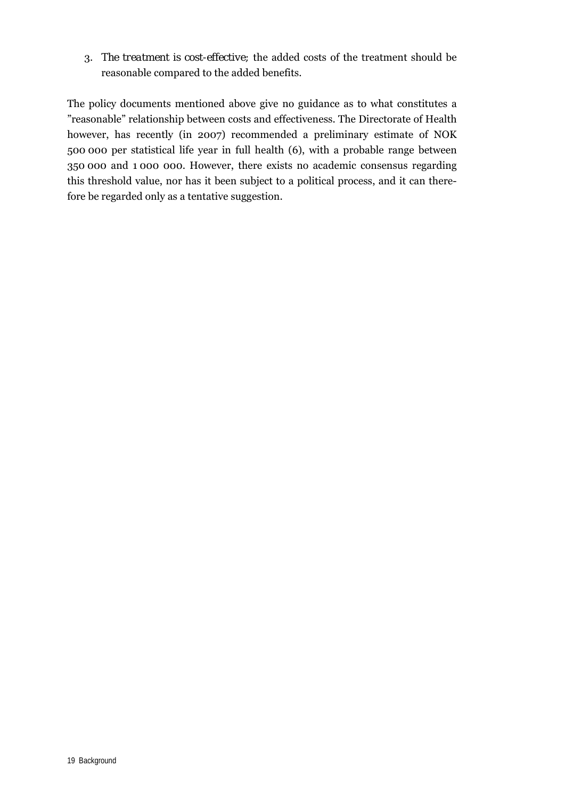3. *The treatment is cost-effective;* the added costs of the treatment should be reasonable compared to the added benefits.

The policy documents mentioned above give no guidance as to what constitutes a "reasonable" relationship between costs and effectiveness. The Directorate of Health however, has recently (in 2007) recommended a preliminary estimate of NOK 500 000 per statistical life year in full health (6), with a probable range between 350 000 and 1 000 000. However, there exists no academic consensus regarding this threshold value, nor has it been subject to a political process, and it can therefore be regarded only as a tentative suggestion.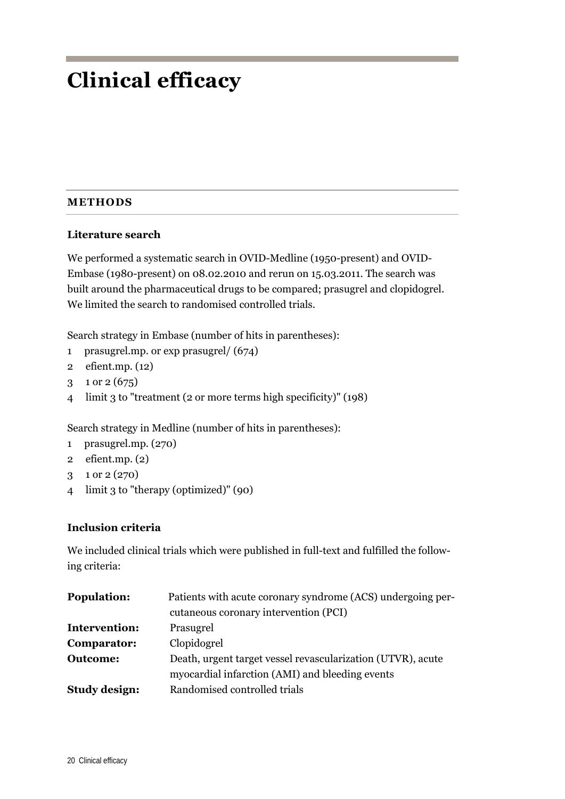## **Clinical efficacy**

### **METHODS**

### **Literature search**

We performed a systematic search in OVID-Medline (1950-present) and OVID-Embase (1980-present) on 08.02.2010 and rerun on 15.03.2011. The search was built around the pharmaceutical drugs to be compared; prasugrel and clopidogrel. We limited the search to randomised controlled trials.

Search strategy in Embase (number of hits in parentheses):

- 1 prasugrel.mp. or exp prasugrel/ (674)
- 2 efient.mp. (12)
- 3 1 or 2 (675)
- 4 limit 3 to "treatment (2 or more terms high specificity)" (198)

Search strategy in Medline (number of hits in parentheses):

- 1 prasugrel.mp. (270)
- 2 efient.mp. (2)
- 3 1 or 2 (270)
- 4 limit 3 to "therapy (optimized)" (90)

### **Inclusion criteria**

We included clinical trials which were published in full-text and fulfilled the following criteria:

| <b>Population:</b>   | Patients with acute coronary syndrome (ACS) undergoing per- |  |  |  |
|----------------------|-------------------------------------------------------------|--|--|--|
|                      | cutaneous coronary intervention (PCI)                       |  |  |  |
| Intervention:        | Prasugrel                                                   |  |  |  |
| Comparator:          | Clopidogrel                                                 |  |  |  |
| <b>Outcome:</b>      | Death, urgent target vessel revascularization (UTVR), acute |  |  |  |
|                      | myocardial infarction (AMI) and bleeding events             |  |  |  |
| <b>Study design:</b> | Randomised controlled trials                                |  |  |  |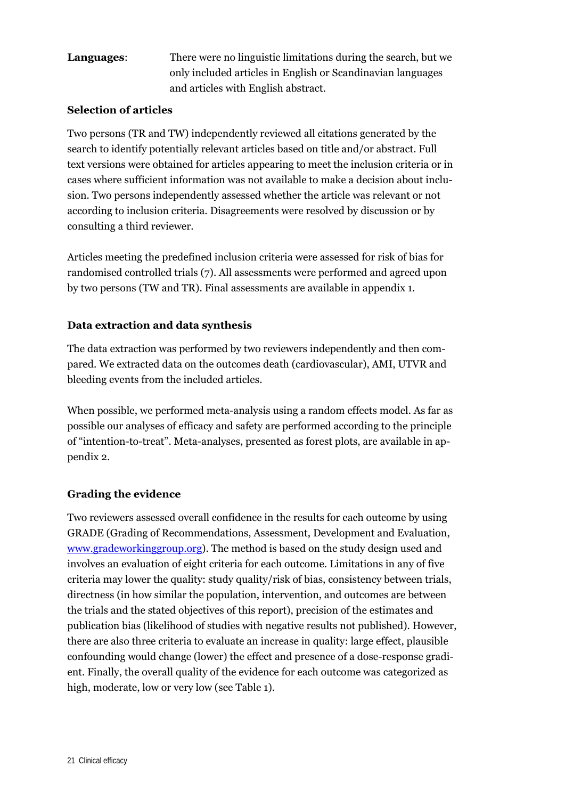## **Languages**: There were no linguistic limitations during the search, but we only included articles in English or Scandinavian languages and articles with English abstract.

#### **Selection of articles**

Two persons (TR and TW) independently reviewed all citations generated by the search to identify potentially relevant articles based on title and/or abstract. Full text versions were obtained for articles appearing to meet the inclusion criteria or in cases where sufficient information was not available to make a decision about inclusion. Two persons independently assessed whether the article was relevant or not according to inclusion criteria. Disagreements were resolved by discussion or by consulting a third reviewer.

Articles meeting the predefined inclusion criteria were assessed for risk of bias for randomised controlled trials (7). All assessments were performed and agreed upon by two persons (TW and TR). Final assessments are available in appendix 1.

### **Data extraction and data synthesis**

The data extraction was performed by two reviewers independently and then compared. We extracted data on the outcomes death (cardiovascular), AMI, UTVR and bleeding events from the included articles.

When possible, we performed meta-analysis using a random effects model. As far as possible our analyses of efficacy and safety are performed according to the principle of "intention-to-treat". Meta-analyses, presented as forest plots, are available in appendix 2.

### **Grading the evidence**

Two reviewers assessed overall confidence in the results for each outcome by using GRADE (Grading of Recommendations, Assessment, Development and Evaluation, www.gradeworkinggroup.org). The method is based on the study design used and involves an evaluation of eight criteria for each outcome. Limitations in any of five criteria may lower the quality: study quality/risk of bias, consistency between trials, directness (in how similar the population, intervention, and outcomes are between the trials and the stated objectives of this report), precision of the estimates and publication bias (likelihood of studies with negative results not published). However, there are also three criteria to evaluate an increase in quality: large effect, plausible confounding would change (lower) the effect and presence of a dose-response gradient. Finally, the overall quality of the evidence for each outcome was categorized as high, moderate, low or very low (see Table 1).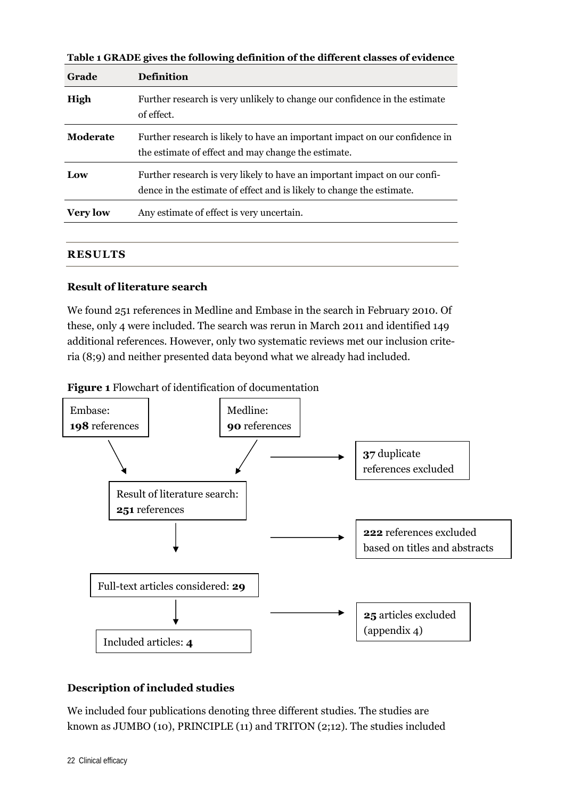| <b>Grade</b>    | <b>Definition</b>                                                                                                                                  |
|-----------------|----------------------------------------------------------------------------------------------------------------------------------------------------|
| High            | Further research is very unlikely to change our confidence in the estimate<br>of effect.                                                           |
| Moderate        | Further research is likely to have an important impact on our confidence in<br>the estimate of effect and may change the estimate.                 |
| Low             | Further research is very likely to have an important impact on our confi-<br>dence in the estimate of effect and is likely to change the estimate. |
| <b>Very low</b> | Any estimate of effect is very uncertain.                                                                                                          |

**Table 1 GRADE gives the following definition of the different classes of evidence** 

#### **RESULTS**

#### **Result of literature search**

We found 251 references in Medline and Embase in the search in February 2010. Of these, only 4 were included. The search was rerun in March 2011 and identified 149 additional references. However, only two systematic reviews met our inclusion criteria (8;9) and neither presented data beyond what we already had included.

**Figure 1** Flowchart of identification of documentation



### **Description of included studies**

We included four publications denoting three different studies. The studies are known as JUMBO (10), PRINCIPLE (11) and TRITON (2;12). The studies included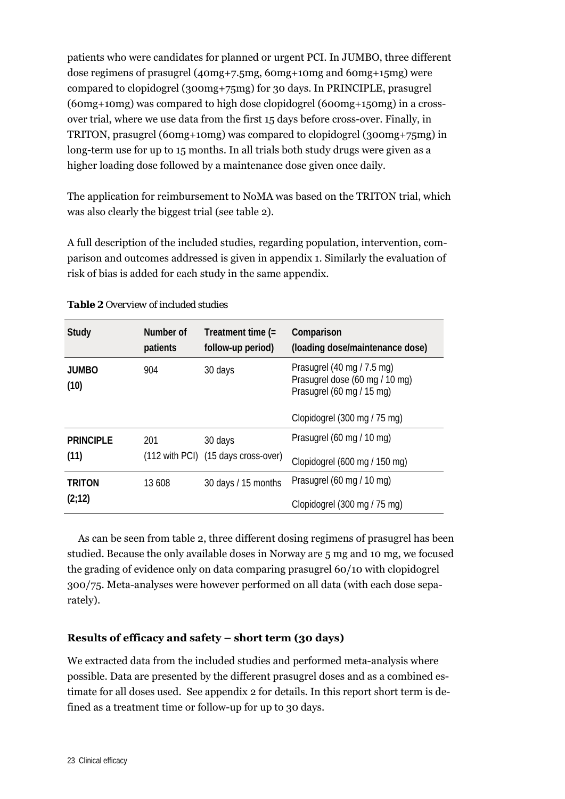patients who were candidates for planned or urgent PCI. In JUMBO, three different dose regimens of prasugrel (40mg+7.5mg, 60mg+10mg and 60mg+15mg) were compared to clopidogrel (300mg+75mg) for 30 days. In PRINCIPLE, prasugrel (60mg+10mg) was compared to high dose clopidogrel (600mg+150mg) in a crossover trial, where we use data from the first 15 days before cross-over. Finally, in TRITON, prasugrel (60mg+10mg) was compared to clopidogrel (300mg+75mg) in long-term use for up to 15 months. In all trials both study drugs were given as a higher loading dose followed by a maintenance dose given once daily.

The application for reimbursement to NoMA was based on the TRITON trial, which was also clearly the biggest trial (see table 2).

A full description of the included studies, regarding population, intervention, comparison and outcomes addressed is given in appendix 1. Similarly the evaluation of risk of bias is added for each study in the same appendix.

| <b>Study</b>         | Number of<br>patients | Treatment time (=<br>follow-up period) | Comparison<br>(loading dose/maintenance dose)                                             |
|----------------------|-----------------------|----------------------------------------|-------------------------------------------------------------------------------------------|
| <b>JUMBO</b><br>(10) | 904                   | 30 days                                | Prasugrel (40 mg / 7.5 mg)<br>Prasugrel dose (60 mg / 10 mg)<br>Prasugrel (60 mg / 15 mg) |
|                      |                       |                                        | Clopidogrel (300 mg / 75 mg)                                                              |
| <b>PRINCIPLE</b>     | 201                   | 30 days                                | Prasugrel (60 mg / 10 mg)                                                                 |
| (11)                 |                       | (112 with PCI) (15 days cross-over)    | Clopidogrel (600 mg / 150 mg)                                                             |
| <b>TRITON</b>        | 13 608                | 30 days / 15 months                    | Prasugrel (60 mg / 10 mg)                                                                 |
| (2;12)               |                       |                                        | Clopidogrel (300 mg / 75 mg)                                                              |

#### *Table 2 Overview of included studies*

As can be seen from table 2, three different dosing regimens of prasugrel has been studied. Because the only available doses in Norway are 5 mg and 10 mg, we focused the grading of evidence only on data comparing prasugrel 60/10 with clopidogrel 300/75. Meta-analyses were however performed on all data (with each dose separately).

### **Results of efficacy and safety – short term (30 days)**

We extracted data from the included studies and performed meta-analysis where possible. Data are presented by the different prasugrel doses and as a combined estimate for all doses used. See appendix 2 for details. In this report short term is defined as a treatment time or follow-up for up to 30 days.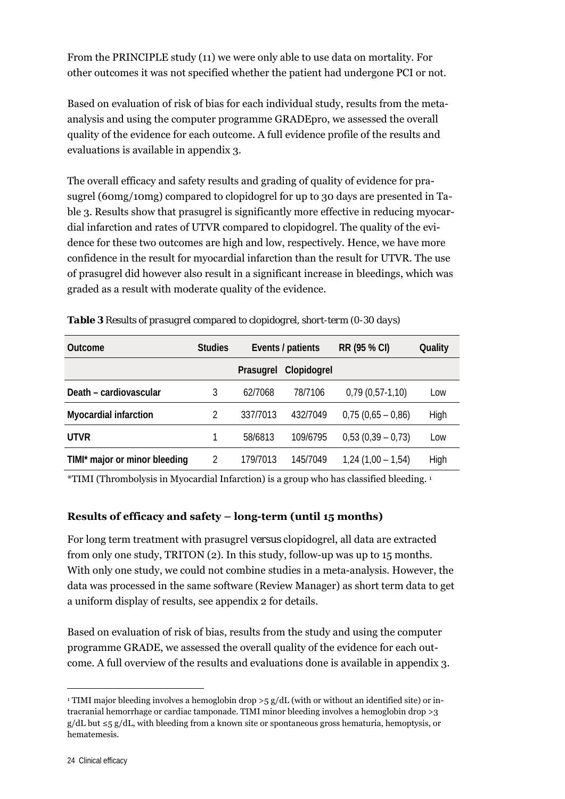From the PRINCIPLE study (11) we were only able to use data on mortality. For other outcomes it was not specified whether the patient had undergone PCI or not.

Based on evaluation of risk of bias for each individual study, results from the metaanalysis and using the computer programme GRADEpro, we assessed the overall quality of the evidence for each outcome. A full evidence profile of the results and evaluations is available in appendix 3.

The overall efficacy and safety results and grading of quality of evidence for prasugrel (60mg/10mg) compared to clopidogrel for up to 30 days are presented in Table 3. Results show that prasugrel is significantly more effective in reducing myocardial infarction and rates of UTVR compared to clopidogrel. The quality of the evidence for these two outcomes are high and low, respectively. Hence, we have more confidence in the result for myocardial infarction than the result for UTVR. The use of prasugrel did however also result in a significant increase in bleedings, which was graded as a result with moderate quality of the evidence.

| Outcome                       | <b>Studies</b> | Events / patients |             | RR (95 % CI)        | Quality |
|-------------------------------|----------------|-------------------|-------------|---------------------|---------|
|                               |                | Prasugrel         | Clopidogrel |                     |         |
| Death - cardiovascular        | 3              | 62/7068           | 78/7106     | $0,79(0,57-1,10)$   | Low     |
| <b>Myocardial infarction</b>  | $\mathfrak{D}$ | 337/7013          | 432/7049    | $0.75(0.65 - 0.86)$ | High    |
| <b>UTVR</b>                   |                | 58/6813           | 109/6795    | $0,53(0,39-0,73)$   | Low     |
| TIMI* major or minor bleeding | 2              | 179/7013          | 145/7049    | $1,24(1,00 - 1,54)$ | High    |

*Table 3 Results of prasugrel compared to clopidogrel, short-term (0-30 days)* 

\*TIMI (Thrombolysis in Myocardial Infarction) is a group who has classified bleeding. 1

### **Results of efficacy and safety – long-term (until 15 months)**

For long term treatment with prasugrel *versus* clopidogrel, all data are extracted from only one study, TRITON (2). In this study, follow-up was up to 15 months. With only one study, we could not combine studies in a meta-analysis. However, the data was processed in the same software (Review Manager) as short term data to get a uniform display of results, see appendix 2 for details.

Based on evaluation of risk of bias, results from the study and using the computer programme GRADE, we assessed the overall quality of the evidence for each outcome. A full overview of the results and evaluations done is available in appendix 3.

<u>.</u>

<sup>&</sup>lt;sup>1</sup> TIMI major bleeding involves a hemoglobin drop >5 g/dL (with or without an identified site) or intracranial hemorrhage or cardiac tamponade. TIMI minor bleeding involves a hemoglobin drop >3  $g/dL$  but  $\leq$ 5 g/dL, with bleeding from a known site or spontaneous gross hematuria, hemoptysis, or hematemesis.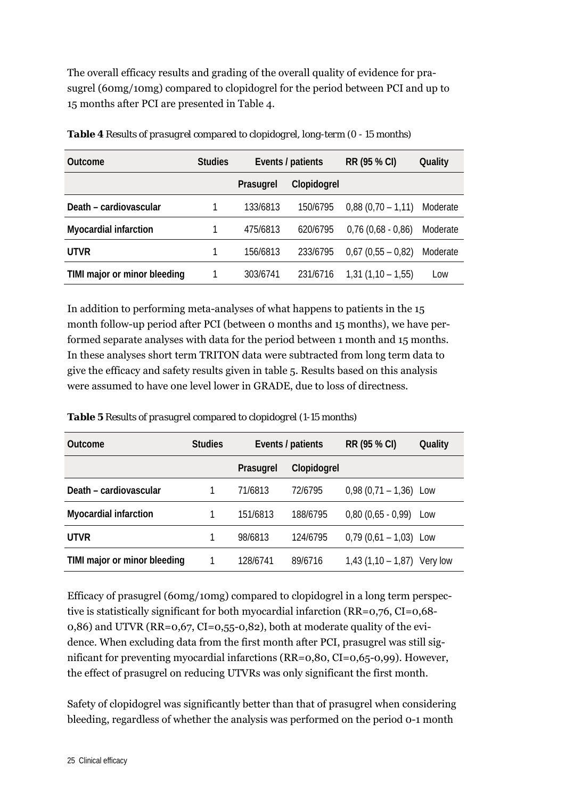The overall efficacy results and grading of the overall quality of evidence for prasugrel (60mg/10mg) compared to clopidogrel for the period between PCI and up to 15 months after PCI are presented in Table 4.

| <b>Outcome</b>               | <b>Studies</b> | Events / patients |             | RR (95 % CI)           | Quality  |
|------------------------------|----------------|-------------------|-------------|------------------------|----------|
|                              |                | Prasugrel         | Clopidogrel |                        |          |
| Death - cardiovascular       |                | 133/6813          | 150/6795    | $0,88(0,70-1,11)$      | Moderate |
| <b>Myocardial infarction</b> |                | 475/6813          | 620/6795    | $0,76$ $(0,68 - 0,86)$ | Moderate |
| <b>UTVR</b>                  |                | 156/6813          | 233/6795    | $0.67(0.55 - 0.82)$    | Moderate |
| TIMI major or minor bleeding |                | 303/6741          | 231/6716    | $1,31(1,10 - 1,55)$    | LOW      |

*Table 4 Results of prasugrel compared to clopidogrel, long-term (0 - 15 months)* 

In addition to performing meta-analyses of what happens to patients in the 15 month follow-up period after PCI (between 0 months and 15 months), we have performed separate analyses with data for the period between 1 month and 15 months. In these analyses short term TRITON data were subtracted from long term data to give the efficacy and safety results given in table 5. Results based on this analysis were assumed to have one level lower in GRADE, due to loss of directness.

| <b>Outcome</b>               | <b>Studies</b> | Events / patients |             | RR (95 % CI)                  | Quality |
|------------------------------|----------------|-------------------|-------------|-------------------------------|---------|
|                              |                | Prasugrel         | Clopidogrel |                               |         |
| Death - cardiovascular       |                | 71/6813           | 72/6795     | $0,98$ (0,71 – 1,36) Low      |         |
| <b>Myocardial infarction</b> |                | 151/6813          | 188/6795    | $0,80$ (0,65 - 0,99)          | Low     |
| <b>UTVR</b>                  |                | 98/6813           | 124/6795    | $0,79$ (0,61 - 1,03) Low      |         |
| TIMI major or minor bleeding |                | 128/6741          | 89/6716     | 1,43 $(1,10 - 1,87)$ Very low |         |

*Table 5 Results of prasugrel compared to clopidogrel (1-15 months)* 

Efficacy of prasugrel (60mg/10mg) compared to clopidogrel in a long term perspective is statistically significant for both myocardial infarction (RR=0,76, CI=0,68- 0,86) and UTVR (RR=0,67, CI=0,55-0,82), both at moderate quality of the evidence. When excluding data from the first month after PCI, prasugrel was still significant for preventing myocardial infarctions (RR=0,80, CI=0,65-0,99). However, the effect of prasugrel on reducing UTVRs was only significant the first month.

Safety of clopidogrel was significantly better than that of prasugrel when considering bleeding, regardless of whether the analysis was performed on the period 0-1 month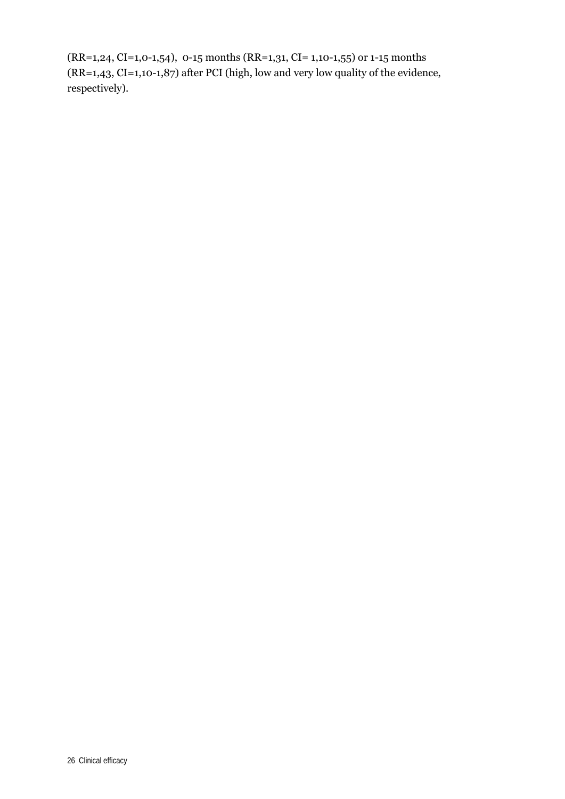(RR=1,24, CI=1,0-1,54), 0-15 months (RR=1,31, CI= 1,10-1,55) or 1-15 months (RR=1,43, CI=1,10-1,87) after PCI (high, low and very low quality of the evidence, respectively).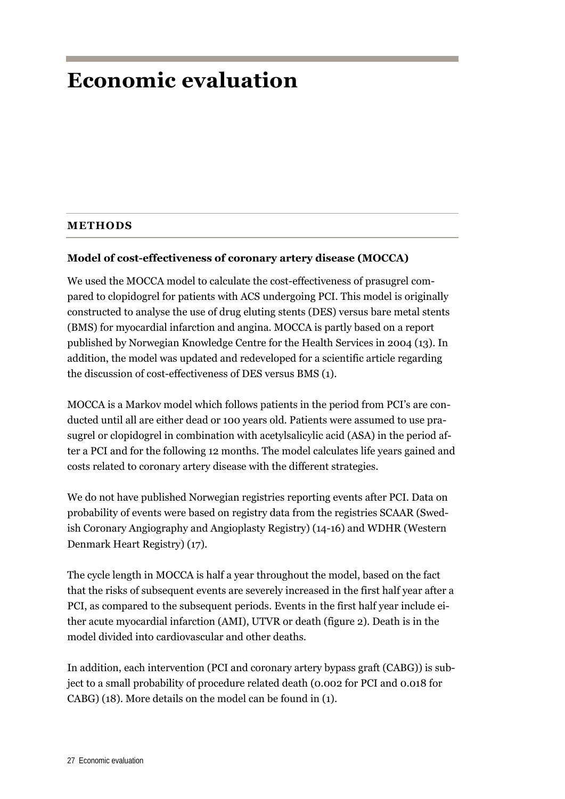## **Economic evaluation**

#### **METHODS**

#### **Model of cost-effectiveness of coronary artery disease (MOCCA)**

We used the MOCCA model to calculate the cost-effectiveness of prasugrel compared to clopidogrel for patients with ACS undergoing PCI. This model is originally constructed to analyse the use of drug eluting stents (DES) versus bare metal stents (BMS) for myocardial infarction and angina. MOCCA is partly based on a report published by Norwegian Knowledge Centre for the Health Services in 2004 (13). In addition, the model was updated and redeveloped for a scientific article regarding the discussion of cost-effectiveness of DES versus BMS (1).

MOCCA is a Markov model which follows patients in the period from PCI's are conducted until all are either dead or 100 years old. Patients were assumed to use prasugrel or clopidogrel in combination with acetylsalicylic acid (ASA) in the period after a PCI and for the following 12 months. The model calculates life years gained and costs related to coronary artery disease with the different strategies.

We do not have published Norwegian registries reporting events after PCI. Data on probability of events were based on registry data from the registries SCAAR (Swedish Coronary Angiography and Angioplasty Registry) (14-16) and WDHR (Western Denmark Heart Registry) (17).

The cycle length in MOCCA is half a year throughout the model, based on the fact that the risks of subsequent events are severely increased in the first half year after a PCI, as compared to the subsequent periods. Events in the first half year include either acute myocardial infarction (AMI), UTVR or death (figure 2). Death is in the model divided into cardiovascular and other deaths.

In addition, each intervention (PCI and coronary artery bypass graft (CABG)) is subject to a small probability of procedure related death (0.002 for PCI and 0.018 for CABG) (18). More details on the model can be found in (1).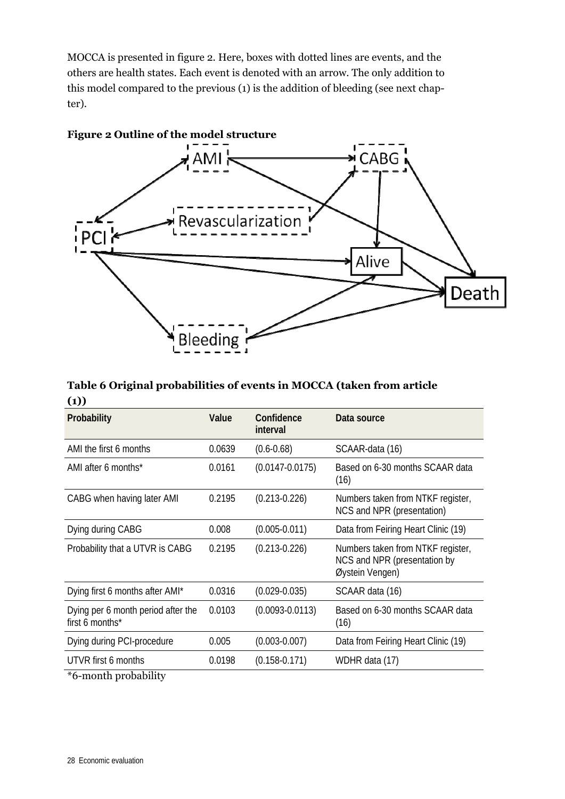MOCCA is presented in figure 2. Here, boxes with dotted lines are events, and the others are health states. Each event is denoted with an arrow. The only addition to this model compared to the previous (1) is the addition of bleeding (see next chapter).



**Table 6 Original probabilities of events in MOCCA (taken from article (1))** 

| 、 <i>,</i><br>Probability                             | Value  | Confidence<br>interval | Data source                                                                          |
|-------------------------------------------------------|--------|------------------------|--------------------------------------------------------------------------------------|
| AMI the first 6 months                                | 0.0639 | $(0.6 - 0.68)$         | SCAAR-data (16)                                                                      |
| AMI after 6 months*                                   | 0.0161 | $(0.0147 - 0.0175)$    | Based on 6-30 months SCAAR data<br>(16)                                              |
| CABG when having later AMI                            | 0.2195 | $(0.213 - 0.226)$      | Numbers taken from NTKF register,<br>NCS and NPR (presentation)                      |
| Dying during CABG                                     | 0.008  | $(0.005 - 0.011)$      | Data from Feiring Heart Clinic (19)                                                  |
| Probability that a UTVR is CABG                       | 0.2195 | $(0.213 - 0.226)$      | Numbers taken from NTKF register,<br>NCS and NPR (presentation by<br>Øystein Vengen) |
| Dying first 6 months after AMI*                       | 0.0316 | $(0.029 - 0.035)$      | SCAAR data (16)                                                                      |
| Dying per 6 month period after the<br>first 6 months* | 0.0103 | $(0.0093 - 0.0113)$    | Based on 6-30 months SCAAR data<br>(16)                                              |
| Dying during PCI-procedure                            | 0.005  | $(0.003 - 0.007)$      | Data from Feiring Heart Clinic (19)                                                  |
| UTVR first 6 months                                   | 0.0198 | $(0.158 - 0.171)$      | WDHR data (17)                                                                       |

\*6-month probability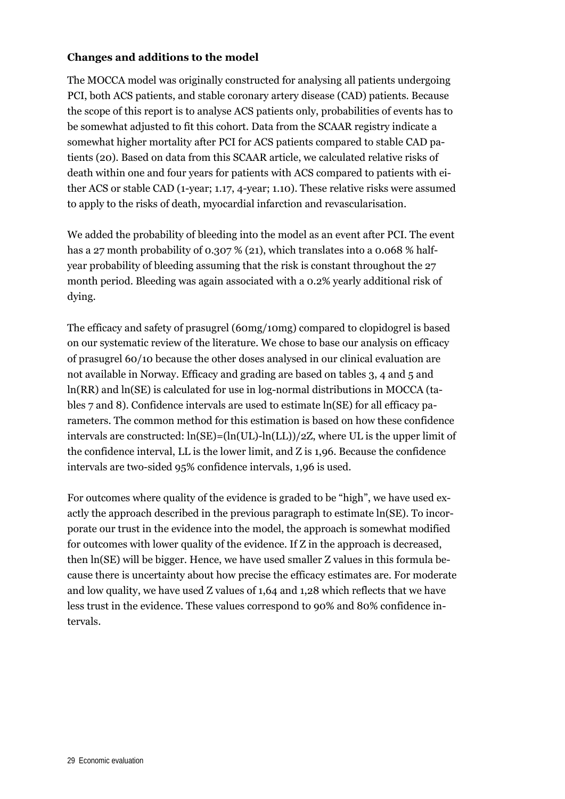#### **Changes and additions to the model**

The MOCCA model was originally constructed for analysing all patients undergoing PCI, both ACS patients, and stable coronary artery disease (CAD) patients. Because the scope of this report is to analyse ACS patients only, probabilities of events has to be somewhat adjusted to fit this cohort. Data from the SCAAR registry indicate a somewhat higher mortality after PCI for ACS patients compared to stable CAD patients (20). Based on data from this SCAAR article, we calculated relative risks of death within one and four years for patients with ACS compared to patients with either ACS or stable CAD (1-year; 1.17, 4-year; 1.10). These relative risks were assumed to apply to the risks of death, myocardial infarction and revascularisation.

We added the probability of bleeding into the model as an event after PCI. The event has a 27 month probability of 0.307 % (21), which translates into a 0.068 % halfyear probability of bleeding assuming that the risk is constant throughout the 27 month period. Bleeding was again associated with a 0.2% yearly additional risk of dying.

The efficacy and safety of prasugrel (60mg/10mg) compared to clopidogrel is based on our systematic review of the literature. We chose to base our analysis on efficacy of prasugrel 60/10 because the other doses analysed in our clinical evaluation are not available in Norway. Efficacy and grading are based on tables 3, 4 and 5 and ln(RR) and ln(SE) is calculated for use in log-normal distributions in MOCCA (tables 7 and 8). Confidence intervals are used to estimate ln(SE) for all efficacy parameters. The common method for this estimation is based on how these confidence intervals are constructed:  $ln(SE) = (ln(UL) - ln(LL))/2Z$ , where UL is the upper limit of the confidence interval, LL is the lower limit, and Z is 1,96. Because the confidence intervals are two-sided 95% confidence intervals, 1,96 is used.

For outcomes where quality of the evidence is graded to be "high", we have used exactly the approach described in the previous paragraph to estimate ln(SE). To incorporate our trust in the evidence into the model, the approach is somewhat modified for outcomes with lower quality of the evidence. If Z in the approach is decreased, then ln(SE) will be bigger. Hence, we have used smaller Z values in this formula because there is uncertainty about how precise the efficacy estimates are. For moderate and low quality, we have used Z values of 1,64 and 1,28 which reflects that we have less trust in the evidence. These values correspond to 90% and 80% confidence intervals.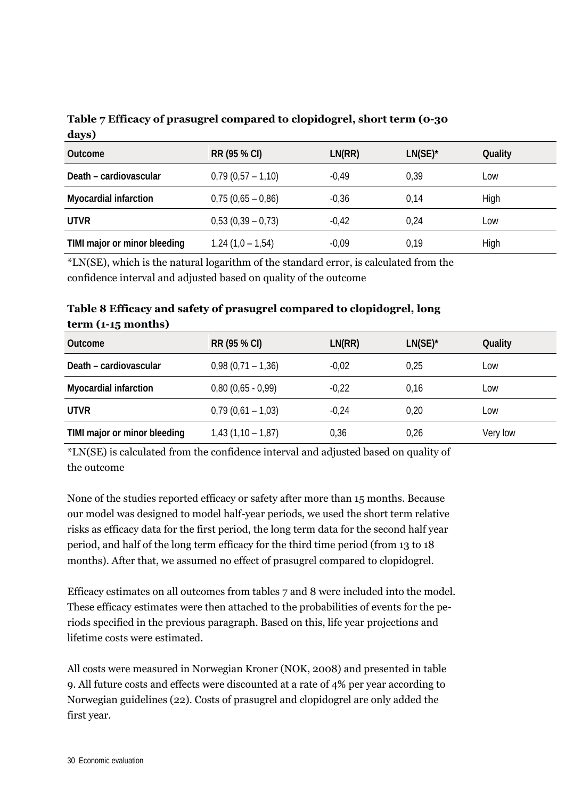| Table 7 Efficacy of prasugrel compared to clopidogrel, short term (0-30 |  |
|-------------------------------------------------------------------------|--|
| days)                                                                   |  |

| Outcome                      | RR (95 % CI)        | LN(RR)  | $LN(SE)^*$ | Quality |
|------------------------------|---------------------|---------|------------|---------|
| Death - cardiovascular       | $0,79(0,57-1,10)$   | $-0.49$ | 0,39       | Low     |
| <b>Myocardial infarction</b> | $0,75(0,65 - 0,86)$ | $-0,36$ | 0.14       | High    |
| <b>UTVR</b>                  | $0,53(0,39-0,73)$   | $-0.42$ | 0.24       | Low     |
| TIMI major or minor bleeding | $1,24(1,0-1,54)$    | $-0.09$ | 0,19       | High    |

\*LN(SE), which is the natural logarithm of the standard error, is calculated from the confidence interval and adjusted based on quality of the outcome

| Table 8 Efficacy and safety of prasugrel compared to clopidogrel, long |  |
|------------------------------------------------------------------------|--|
| $term (1-15 months)$                                                   |  |

| Outcome                      | RR (95 % CI)           | LN(RR)  | $LN(SE)^*$ | Quality  |
|------------------------------|------------------------|---------|------------|----------|
| Death - cardiovascular       | $0,98(0,71-1,36)$      | $-0,02$ | 0.25       | Low      |
| <b>Myocardial infarction</b> | $0,80$ $(0,65 - 0,99)$ | $-0.22$ | 0,16       | Low      |
| <b>UTVR</b>                  | $0,79(0,61 - 1,03)$    | $-0.24$ | 0,20       | Low      |
| TIMI major or minor bleeding | $1,43(1,10-1,87)$      | 0,36    | 0,26       | Very low |

\*LN(SE) is calculated from the confidence interval and adjusted based on quality of the outcome

None of the studies reported efficacy or safety after more than 15 months. Because our model was designed to model half-year periods, we used the short term relative risks as efficacy data for the first period, the long term data for the second half year period, and half of the long term efficacy for the third time period (from 13 to 18 months). After that, we assumed no effect of prasugrel compared to clopidogrel.

Efficacy estimates on all outcomes from tables 7 and 8 were included into the model. These efficacy estimates were then attached to the probabilities of events for the periods specified in the previous paragraph. Based on this, life year projections and lifetime costs were estimated.

All costs were measured in Norwegian Kroner (NOK, 2008) and presented in table 9. All future costs and effects were discounted at a rate of 4% per year according to Norwegian guidelines (22). Costs of prasugrel and clopidogrel are only added the first year.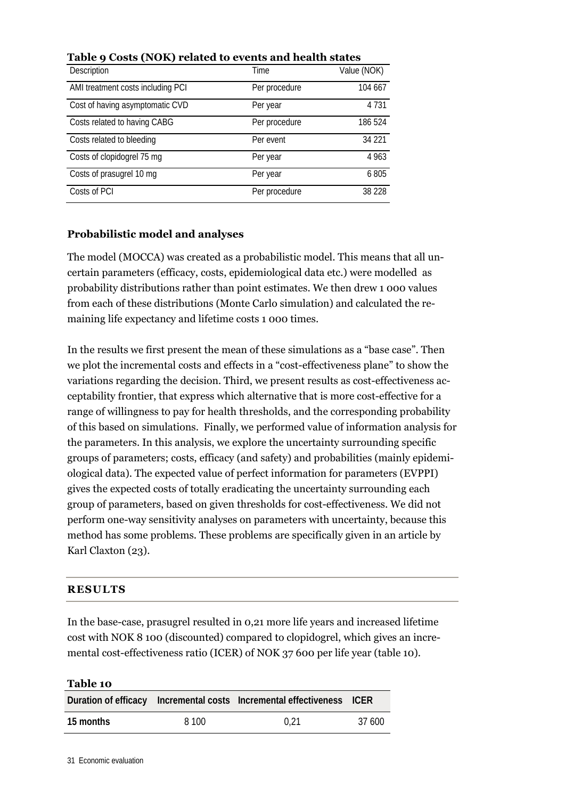| Description                       | Time          | Value (NOK) |
|-----------------------------------|---------------|-------------|
| AMI treatment costs including PCI | Per procedure | 104 667     |
| Cost of having asymptomatic CVD   | Per year      | 4 7 3 1     |
| Costs related to having CABG      | Per procedure | 186 524     |
| Costs related to bleeding         | Per event     | 34 2 21     |
| Costs of clopidogrel 75 mg        | Per year      | 4 9 6 3     |
| Costs of prasugrel 10 mg          | Per year      | 6805        |
| Costs of PCI                      | Per procedure | 38 2 28     |

**Table 9 Costs (NOK) related to events and health states** 

### **Probabilistic model and analyses**

The model (MOCCA) was created as a probabilistic model. This means that all uncertain parameters (efficacy, costs, epidemiological data etc.) were modelled as probability distributions rather than point estimates. We then drew 1 000 values from each of these distributions (Monte Carlo simulation) and calculated the remaining life expectancy and lifetime costs 1 000 times.

In the results we first present the mean of these simulations as a "base case". Then we plot the incremental costs and effects in a "cost-effectiveness plane" to show the variations regarding the decision. Third, we present results as cost-effectiveness acceptability frontier, that express which alternative that is more cost-effective for a range of willingness to pay for health thresholds, and the corresponding probability of this based on simulations. Finally, we performed value of information analysis for the parameters. In this analysis, we explore the uncertainty surrounding specific groups of parameters; costs, efficacy (and safety) and probabilities (mainly epidemiological data). The expected value of perfect information for parameters (EVPPI) gives the expected costs of totally eradicating the uncertainty surrounding each group of parameters, based on given thresholds for cost-effectiveness. We did not perform one-way sensitivity analyses on parameters with uncertainty, because this method has some problems. These problems are specifically given in an article by Karl Claxton (23).

### **RESULTS**

In the base-case, prasugrel resulted in 0,21 more life years and increased lifetime cost with NOK 8 100 (discounted) compared to clopidogrel, which gives an incremental cost-effectiveness ratio (ICER) of NOK 37 600 per life year (table 10).

#### **Table 10**

|           |       | Duration of efficacy Incremental costs Incremental effectiveness ICER |        |
|-----------|-------|-----------------------------------------------------------------------|--------|
| 15 months | 8 100 | 0.21                                                                  | 37 600 |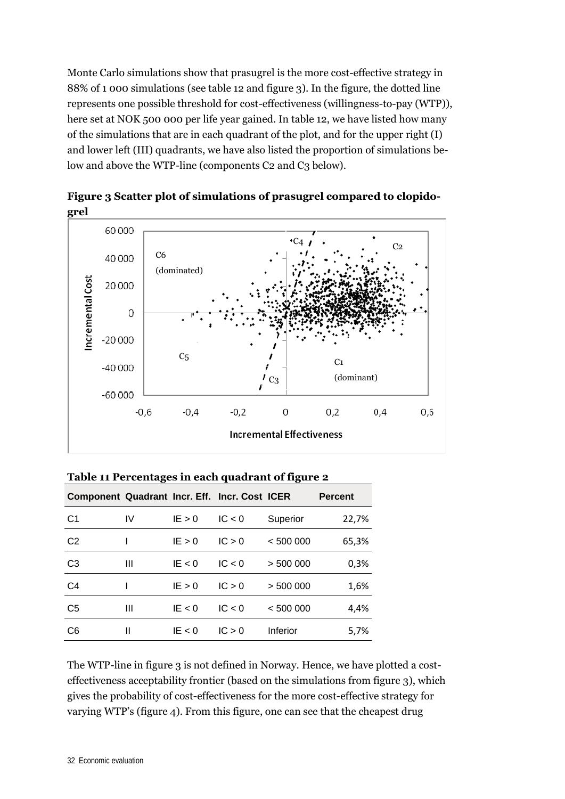Monte Carlo simulations show that prasugrel is the more cost-effective strategy in 88% of 1 000 simulations (see table 12 and figure 3). In the figure, the dotted line represents one possible threshold for cost-effectiveness (willingness-to-pay (WTP)), here set at NOK 500 000 per life year gained. In table 12, we have listed how many of the simulations that are in each quadrant of the plot, and for the upper right (I) and lower left (III) quadrants, we have also listed the proportion of simulations below and above the WTP-line (components C2 and C3 below).



**Figure 3 Scatter plot of simulations of prasugrel compared to clopidogrel** 

| Component Quadrant Incr. Eff. Incr. Cost ICER |    |          |        |          | <b>Percent</b> |
|-----------------------------------------------|----|----------|--------|----------|----------------|
| C1                                            | IV | IE > 0   | IC < 0 | Superior | 22,7%          |
| C <sub>2</sub>                                |    | IE > 0   | IC > 0 | < 500000 | 65,3%          |
| C <sub>3</sub>                                | Ш  | IE $< 0$ | IC < 0 | > 500000 | 0,3%           |
| C <sub>4</sub>                                |    | IE > 0   | IC > 0 | > 500000 | 1,6%           |
| C <sub>5</sub>                                | Ш  | IE < 0   | IC < 0 | < 500000 | 4,4%           |
| C <sub>6</sub>                                | Ш  | IE $< 0$ | IC > 0 | Inferior | 5,7%           |

**Table 11 Percentages in each quadrant of figure 2** 

The WTP-line in figure 3 is not defined in Norway. Hence, we have plotted a costeffectiveness acceptability frontier (based on the simulations from figure 3), which gives the probability of cost-effectiveness for the more cost-effective strategy for varying WTP's (figure 4). From this figure, one can see that the cheapest drug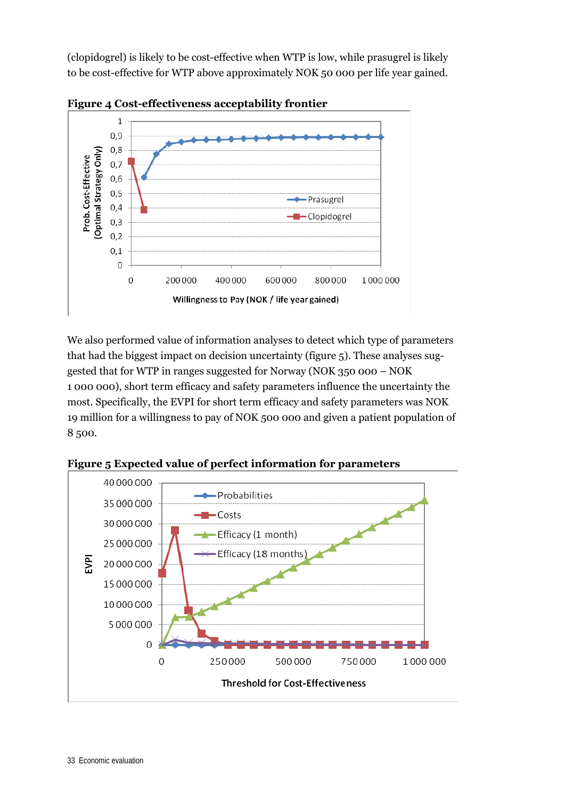(clopidogrel) is likely to be cost-effective when WTP is low, while prasugrel is likely to be cost-effective for WTP above approximately NOK 50 000 per life year gained.





We also performed value of information analyses to detect which type of parameters that had the biggest impact on decision uncertainty (figure 5). These analyses suggested that for WTP in ranges suggested for Norway (NOK 350 000 – NOK 1 000 000), short term efficacy and safety parameters influence the uncertainty the most. Specifically, the EVPI for short term efficacy and safety parameters was NOK 19 million for a willingness to pay of NOK 500 000 and given a patient population of 8 500.



**Figure 5 Expected value of perfect information for parameters**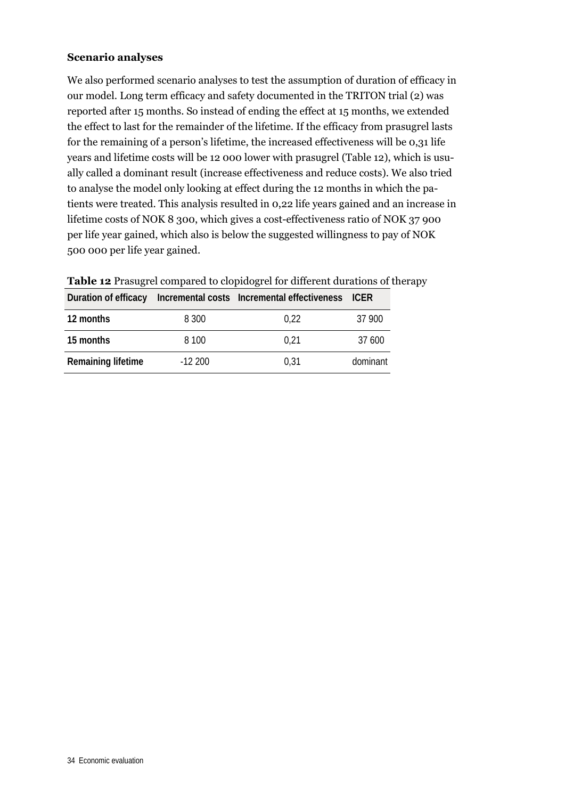#### **Scenario analyses**

We also performed scenario analyses to test the assumption of duration of efficacy in our model. Long term efficacy and safety documented in the TRITON trial (2) was reported after 15 months. So instead of ending the effect at 15 months, we extended the effect to last for the remainder of the lifetime. If the efficacy from prasugrel lasts for the remaining of a person's lifetime, the increased effectiveness will be 0,31 life years and lifetime costs will be 12 000 lower with prasugrel (Table 12), which is usually called a dominant result (increase effectiveness and reduce costs). We also tried to analyse the model only looking at effect during the 12 months in which the patients were treated. This analysis resulted in 0,22 life years gained and an increase in lifetime costs of NOK 8 300, which gives a cost-effectiveness ratio of NOK 37 900 per life year gained, which also is below the suggested willingness to pay of NOK 500 000 per life year gained.

|                    |          | Duration of efficacy Incremental costs Incremental effectiveness ICER |          |
|--------------------|----------|-----------------------------------------------------------------------|----------|
| 12 months          | 8 3 0 0  | 0.22                                                                  | 37 900   |
| 15 months          | 8 100    | 0.21                                                                  | 37 600   |
| Remaining lifetime | $-12200$ | 0.31                                                                  | dominant |

**Table 12** Prasugrel compared to clopidogrel for different durations of therapy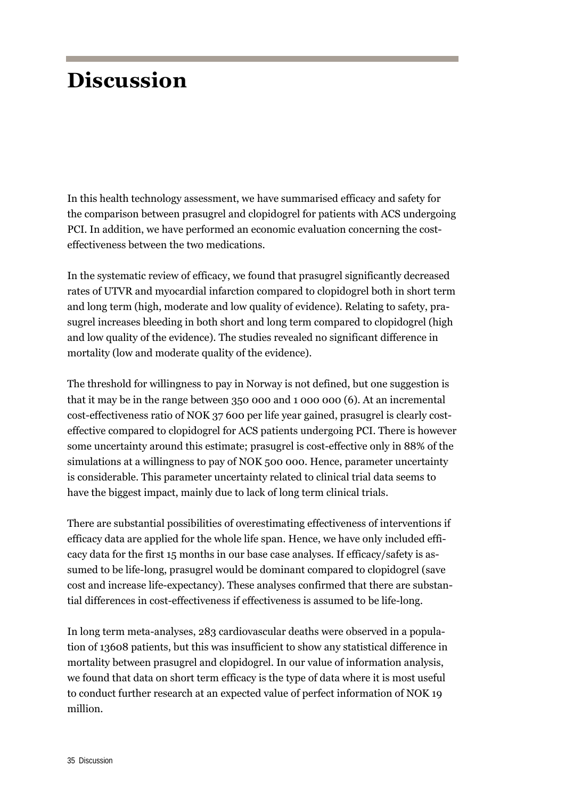## **Discussion**

In this health technology assessment, we have summarised efficacy and safety for the comparison between prasugrel and clopidogrel for patients with ACS undergoing PCI. In addition, we have performed an economic evaluation concerning the costeffectiveness between the two medications.

In the systematic review of efficacy, we found that prasugrel significantly decreased rates of UTVR and myocardial infarction compared to clopidogrel both in short term and long term (high, moderate and low quality of evidence). Relating to safety, prasugrel increases bleeding in both short and long term compared to clopidogrel (high and low quality of the evidence). The studies revealed no significant difference in mortality (low and moderate quality of the evidence).

The threshold for willingness to pay in Norway is not defined, but one suggestion is that it may be in the range between 350 000 and 1 000 000 (6). At an incremental cost-effectiveness ratio of NOK 37 600 per life year gained, prasugrel is clearly costeffective compared to clopidogrel for ACS patients undergoing PCI. There is however some uncertainty around this estimate; prasugrel is cost-effective only in 88% of the simulations at a willingness to pay of NOK 500 000. Hence, parameter uncertainty is considerable. This parameter uncertainty related to clinical trial data seems to have the biggest impact, mainly due to lack of long term clinical trials.

There are substantial possibilities of overestimating effectiveness of interventions if efficacy data are applied for the whole life span. Hence, we have only included efficacy data for the first 15 months in our base case analyses. If efficacy/safety is assumed to be life-long, prasugrel would be dominant compared to clopidogrel (save cost and increase life-expectancy). These analyses confirmed that there are substantial differences in cost-effectiveness if effectiveness is assumed to be life-long.

In long term meta-analyses, 283 cardiovascular deaths were observed in a population of 13608 patients, but this was insufficient to show any statistical difference in mortality between prasugrel and clopidogrel. In our value of information analysis, we found that data on short term efficacy is the type of data where it is most useful to conduct further research at an expected value of perfect information of NOK 19 million.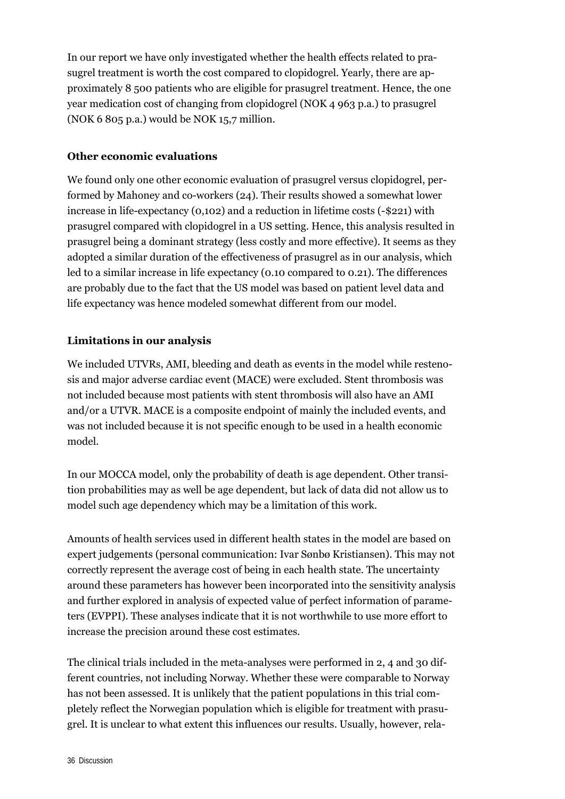In our report we have only investigated whether the health effects related to prasugrel treatment is worth the cost compared to clopidogrel. Yearly, there are approximately 8 500 patients who are eligible for prasugrel treatment. Hence, the one year medication cost of changing from clopidogrel (NOK 4 963 p.a.) to prasugrel (NOK 6 805 p.a.) would be NOK 15,7 million.

### **Other economic evaluations**

We found only one other economic evaluation of prasugrel versus clopidogrel, performed by Mahoney and co-workers (24). Their results showed a somewhat lower increase in life-expectancy (0,102) and a reduction in lifetime costs (-\$221) with prasugrel compared with clopidogrel in a US setting. Hence, this analysis resulted in prasugrel being a dominant strategy (less costly and more effective). It seems as they adopted a similar duration of the effectiveness of prasugrel as in our analysis, which led to a similar increase in life expectancy (0.10 compared to 0.21). The differences are probably due to the fact that the US model was based on patient level data and life expectancy was hence modeled somewhat different from our model.

### **Limitations in our analysis**

We included UTVRs, AMI, bleeding and death as events in the model while restenosis and major adverse cardiac event (MACE) were excluded. Stent thrombosis was not included because most patients with stent thrombosis will also have an AMI and/or a UTVR. MACE is a composite endpoint of mainly the included events, and was not included because it is not specific enough to be used in a health economic model.

In our MOCCA model, only the probability of death is age dependent. Other transition probabilities may as well be age dependent, but lack of data did not allow us to model such age dependency which may be a limitation of this work.

Amounts of health services used in different health states in the model are based on expert judgements (personal communication: Ivar Sønbø Kristiansen). This may not correctly represent the average cost of being in each health state. The uncertainty around these parameters has however been incorporated into the sensitivity analysis and further explored in analysis of expected value of perfect information of parameters (EVPPI). These analyses indicate that it is not worthwhile to use more effort to increase the precision around these cost estimates.

The clinical trials included in the meta-analyses were performed in 2, 4 and 30 different countries, not including Norway. Whether these were comparable to Norway has not been assessed. It is unlikely that the patient populations in this trial completely reflect the Norwegian population which is eligible for treatment with prasugrel. It is unclear to what extent this influences our results. Usually, however, rela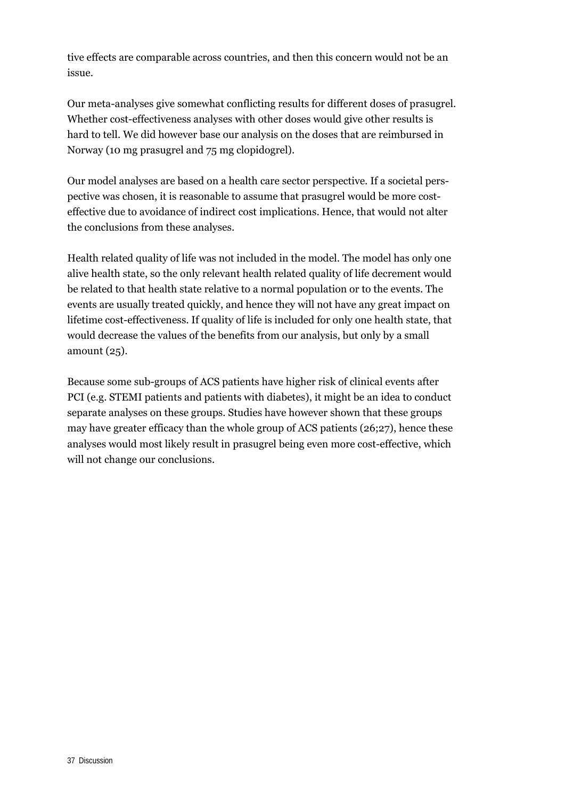tive effects are comparable across countries, and then this concern would not be an issue.

Our meta-analyses give somewhat conflicting results for different doses of prasugrel. Whether cost-effectiveness analyses with other doses would give other results is hard to tell. We did however base our analysis on the doses that are reimbursed in Norway (10 mg prasugrel and 75 mg clopidogrel).

Our model analyses are based on a health care sector perspective. If a societal perspective was chosen, it is reasonable to assume that prasugrel would be more costeffective due to avoidance of indirect cost implications. Hence, that would not alter the conclusions from these analyses.

Health related quality of life was not included in the model. The model has only one alive health state, so the only relevant health related quality of life decrement would be related to that health state relative to a normal population or to the events. The events are usually treated quickly, and hence they will not have any great impact on lifetime cost-effectiveness. If quality of life is included for only one health state, that would decrease the values of the benefits from our analysis, but only by a small amount (25).

Because some sub-groups of ACS patients have higher risk of clinical events after PCI (e.g. STEMI patients and patients with diabetes), it might be an idea to conduct separate analyses on these groups. Studies have however shown that these groups may have greater efficacy than the whole group of ACS patients (26;27), hence these analyses would most likely result in prasugrel being even more cost-effective, which will not change our conclusions.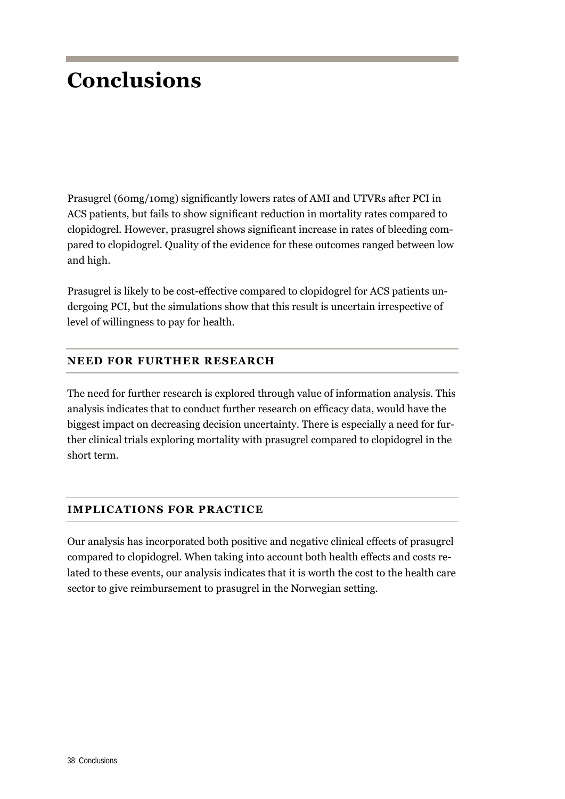## **Conclusions**

Prasugrel (60mg/10mg) significantly lowers rates of AMI and UTVRs after PCI in ACS patients, but fails to show significant reduction in mortality rates compared to clopidogrel. However, prasugrel shows significant increase in rates of bleeding compared to clopidogrel. Quality of the evidence for these outcomes ranged between low and high.

Prasugrel is likely to be cost-effective compared to clopidogrel for ACS patients undergoing PCI, but the simulations show that this result is uncertain irrespective of level of willingness to pay for health.

### **NEED FOR FURTHER RESEARCH**

The need for further research is explored through value of information analysis. This analysis indicates that to conduct further research on efficacy data, would have the biggest impact on decreasing decision uncertainty. There is especially a need for further clinical trials exploring mortality with prasugrel compared to clopidogrel in the short term.

### **IMPLICATIONS FOR PRACTICE**

Our analysis has incorporated both positive and negative clinical effects of prasugrel compared to clopidogrel. When taking into account both health effects and costs related to these events, our analysis indicates that it is worth the cost to the health care sector to give reimbursement to prasugrel in the Norwegian setting.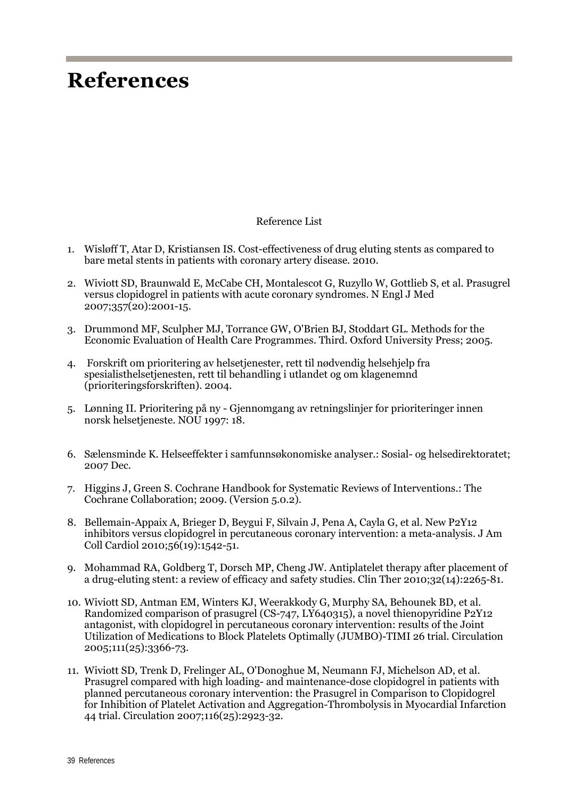## **References**

#### Reference List

- 1. Wisløff T, Atar D, Kristiansen IS. Cost-effectiveness of drug eluting stents as compared to bare metal stents in patients with coronary artery disease. 2010.
- 2. Wiviott SD, Braunwald E, McCabe CH, Montalescot G, Ruzyllo W, Gottlieb S, et al. Prasugrel versus clopidogrel in patients with acute coronary syndromes. N Engl J Med 2007;357(20):2001-15.
- 3. Drummond MF, Sculpher MJ, Torrance GW, O'Brien BJ, Stoddart GL. Methods for the Economic Evaluation of Health Care Programmes. Third. Oxford University Press; 2005.
- 4. Forskrift om prioritering av helsetjenester, rett til nødvendig helsehjelp fra spesialisthelsetjenesten, rett til behandling i utlandet og om klagenemnd (prioriteringsforskriften). 2004.
- 5. Lønning II. Prioritering på ny Gjennomgang av retningslinjer for prioriteringer innen norsk helsetjeneste. NOU 1997: 18.
- 6. Sælensminde K. Helseeffekter i samfunnsøkonomiske analyser.: Sosial- og helsedirektoratet; 2007 Dec.
- 7. Higgins J, Green S. Cochrane Handbook for Systematic Reviews of Interventions.: The Cochrane Collaboration; 2009. (Version 5.0.2).
- 8. Bellemain-Appaix A, Brieger D, Beygui F, Silvain J, Pena A, Cayla G, et al. New P2Y12 inhibitors versus clopidogrel in percutaneous coronary intervention: a meta-analysis. J Am Coll Cardiol 2010;56(19):1542-51.
- 9. Mohammad RA, Goldberg T, Dorsch MP, Cheng JW. Antiplatelet therapy after placement of a drug-eluting stent: a review of efficacy and safety studies. Clin Ther 2010;32(14):2265-81.
- 10. Wiviott SD, Antman EM, Winters KJ, Weerakkody G, Murphy SA, Behounek BD, et al. Randomized comparison of prasugrel (CS-747, LY640315), a novel thienopyridine P2Y12 antagonist, with clopidogrel in percutaneous coronary intervention: results of the Joint Utilization of Medications to Block Platelets Optimally (JUMBO)-TIMI 26 trial. Circulation 2005;111(25):3366-73.
- 11. Wiviott SD, Trenk D, Frelinger AL, O'Donoghue M, Neumann FJ, Michelson AD, et al. Prasugrel compared with high loading- and maintenance-dose clopidogrel in patients with planned percutaneous coronary intervention: the Prasugrel in Comparison to Clopidogrel for Inhibition of Platelet Activation and Aggregation-Thrombolysis in Myocardial Infarction 44 trial. Circulation 2007;116(25):2923-32.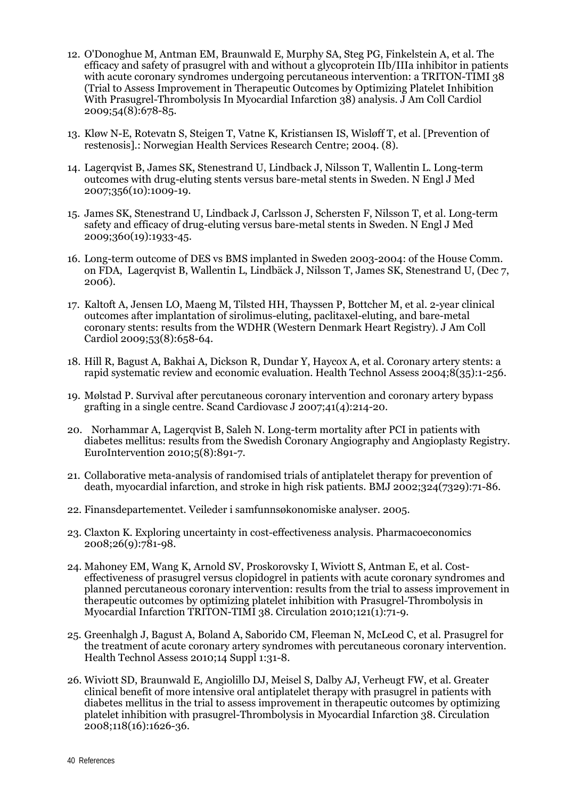- 12. O'Donoghue M, Antman EM, Braunwald E, Murphy SA, Steg PG, Finkelstein A, et al. The efficacy and safety of prasugrel with and without a glycoprotein IIb/IIIa inhibitor in patients with acute coronary syndromes undergoing percutaneous intervention: a TRITON-TIMI 38 (Trial to Assess Improvement in Therapeutic Outcomes by Optimizing Platelet Inhibition With Prasugrel-Thrombolysis In Myocardial Infarction 38) analysis. J Am Coll Cardiol 2009;54(8):678-85.
- 13. Kløw N-E, Rotevatn S, Steigen T, Vatne K, Kristiansen IS, Wisløff T, et al. [Prevention of restenosis].: Norwegian Health Services Research Centre; 2004. (8).
- 14. Lagerqvist B, James SK, Stenestrand U, Lindback J, Nilsson T, Wallentin L. Long-term outcomes with drug-eluting stents versus bare-metal stents in Sweden. N Engl J Med 2007;356(10):1009-19.
- 15. James SK, Stenestrand U, Lindback J, Carlsson J, Schersten F, Nilsson T, et al. Long-term safety and efficacy of drug-eluting versus bare-metal stents in Sweden. N Engl J Med 2009;360(19):1933-45.
- 16. Long-term outcome of DES vs BMS implanted in Sweden 2003-2004: of the House Comm. on FDA, Lagerqvist B, Wallentin L, Lindbäck J, Nilsson T, James SK, Stenestrand U, (Dec 7, 2006).
- 17. Kaltoft A, Jensen LO, Maeng M, Tilsted HH, Thayssen P, Bottcher M, et al. 2-year clinical outcomes after implantation of sirolimus-eluting, paclitaxel-eluting, and bare-metal coronary stents: results from the WDHR (Western Denmark Heart Registry). J Am Coll Cardiol 2009;53(8):658-64.
- 18. Hill R, Bagust A, Bakhai A, Dickson R, Dundar Y, Haycox A, et al. Coronary artery stents: a rapid systematic review and economic evaluation. Health Technol Assess 2004;8(35):1-256.
- 19. Mølstad P. Survival after percutaneous coronary intervention and coronary artery bypass grafting in a single centre. Scand Cardiovasc J 2007;41(4):214-20.
- 20. Norhammar A, Lagerqvist B, Saleh N. Long-term mortality after PCI in patients with diabetes mellitus: results from the Swedish Coronary Angiography and Angioplasty Registry. EuroIntervention 2010;5(8):891-7.
- 21. Collaborative meta-analysis of randomised trials of antiplatelet therapy for prevention of death, myocardial infarction, and stroke in high risk patients. BMJ 2002;324(7329):71-86.
- 22. Finansdepartementet. Veileder i samfunnsøkonomiske analyser. 2005.
- 23. Claxton K. Exploring uncertainty in cost-effectiveness analysis. Pharmacoeconomics 2008;26(9):781-98.
- 24. Mahoney EM, Wang K, Arnold SV, Proskorovsky I, Wiviott S, Antman E, et al. Costeffectiveness of prasugrel versus clopidogrel in patients with acute coronary syndromes and planned percutaneous coronary intervention: results from the trial to assess improvement in therapeutic outcomes by optimizing platelet inhibition with Prasugrel-Thrombolysis in Myocardial Infarction TRITON-TIMI 38. Circulation 2010;121(1):71-9.
- 25. Greenhalgh J, Bagust A, Boland A, Saborido CM, Fleeman N, McLeod C, et al. Prasugrel for the treatment of acute coronary artery syndromes with percutaneous coronary intervention. Health Technol Assess 2010;14 Suppl 1:31-8.
- 26. Wiviott SD, Braunwald E, Angiolillo DJ, Meisel S, Dalby AJ, Verheugt FW, et al. Greater clinical benefit of more intensive oral antiplatelet therapy with prasugrel in patients with diabetes mellitus in the trial to assess improvement in therapeutic outcomes by optimizing platelet inhibition with prasugrel-Thrombolysis in Myocardial Infarction 38. Circulation 2008;118(16):1626-36.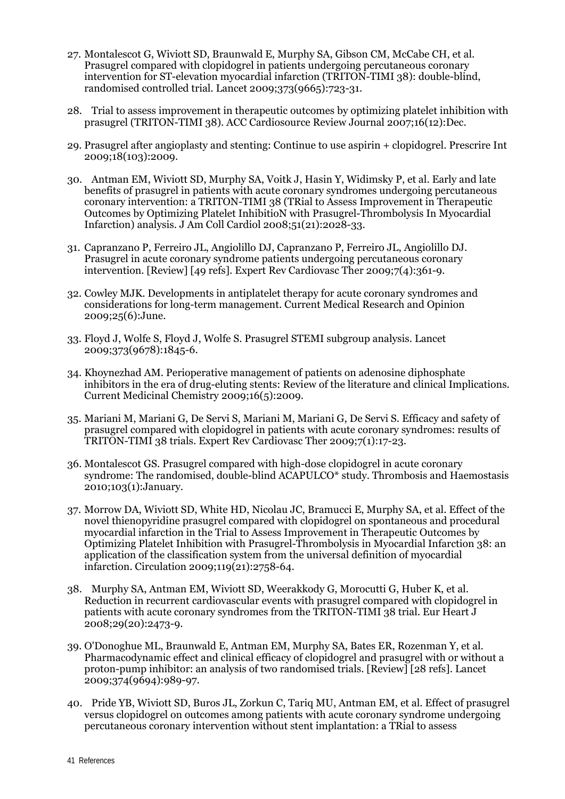- 27. Montalescot G, Wiviott SD, Braunwald E, Murphy SA, Gibson CM, McCabe CH, et al. Prasugrel compared with clopidogrel in patients undergoing percutaneous coronary intervention for ST-elevation myocardial infarction (TRITON-TIMI 38): double-blind, randomised controlled trial. Lancet 2009;373(9665):723-31.
- 28. Trial to assess improvement in therapeutic outcomes by optimizing platelet inhibition with prasugrel (TRITON-TIMI 38). ACC Cardiosource Review Journal 2007;16(12):Dec.
- 29. Prasugrel after angioplasty and stenting: Continue to use aspirin + clopidogrel. Prescrire Int 2009;18(103):2009.
- 30. Antman EM, Wiviott SD, Murphy SA, Voitk J, Hasin Y, Widimsky P, et al. Early and late benefits of prasugrel in patients with acute coronary syndromes undergoing percutaneous coronary intervention: a TRITON-TIMI 38 (TRial to Assess Improvement in Therapeutic Outcomes by Optimizing Platelet InhibitioN with Prasugrel-Thrombolysis In Myocardial Infarction) analysis. J Am Coll Cardiol 2008;51(21):2028-33.
- 31. Capranzano P, Ferreiro JL, Angiolillo DJ, Capranzano P, Ferreiro JL, Angiolillo DJ. Prasugrel in acute coronary syndrome patients undergoing percutaneous coronary intervention. [Review] [49 refs]. Expert Rev Cardiovasc Ther 2009;7(4):361-9.
- 32. Cowley MJK. Developments in antiplatelet therapy for acute coronary syndromes and considerations for long-term management. Current Medical Research and Opinion 2009;25(6):June.
- 33. Floyd J, Wolfe S, Floyd J, Wolfe S. Prasugrel STEMI subgroup analysis. Lancet 2009;373(9678):1845-6.
- 34. Khoynezhad AM. Perioperative management of patients on adenosine diphosphate inhibitors in the era of drug-eluting stents: Review of the literature and clinical Implications. Current Medicinal Chemistry 2009;16(5):2009.
- 35. Mariani M, Mariani G, De Servi S, Mariani M, Mariani G, De Servi S. Efficacy and safety of prasugrel compared with clopidogrel in patients with acute coronary syndromes: results of TRITON-TIMI 38 trials. Expert Rev Cardiovasc Ther 2009;7(1):17-23.
- 36. Montalescot GS. Prasugrel compared with high-dose clopidogrel in acute coronary syndrome: The randomised, double-blind ACAPULCO\* study. Thrombosis and Haemostasis 2010;103(1):January.
- 37. Morrow DA, Wiviott SD, White HD, Nicolau JC, Bramucci E, Murphy SA, et al. Effect of the novel thienopyridine prasugrel compared with clopidogrel on spontaneous and procedural myocardial infarction in the Trial to Assess Improvement in Therapeutic Outcomes by Optimizing Platelet Inhibition with Prasugrel-Thrombolysis in Myocardial Infarction 38: an application of the classification system from the universal definition of myocardial infarction. Circulation 2009;119(21):2758-64.
- 38. Murphy SA, Antman EM, Wiviott SD, Weerakkody G, Morocutti G, Huber K, et al. Reduction in recurrent cardiovascular events with prasugrel compared with clopidogrel in patients with acute coronary syndromes from the TRITON-TIMI 38 trial. Eur Heart J 2008;29(20):2473-9.
- 39. O'Donoghue ML, Braunwald E, Antman EM, Murphy SA, Bates ER, Rozenman Y, et al. Pharmacodynamic effect and clinical efficacy of clopidogrel and prasugrel with or without a proton-pump inhibitor: an analysis of two randomised trials. [Review] [28 refs]. Lancet 2009;374(9694):989-97.
- 40. Pride YB, Wiviott SD, Buros JL, Zorkun C, Tariq MU, Antman EM, et al. Effect of prasugrel versus clopidogrel on outcomes among patients with acute coronary syndrome undergoing percutaneous coronary intervention without stent implantation: a TRial to assess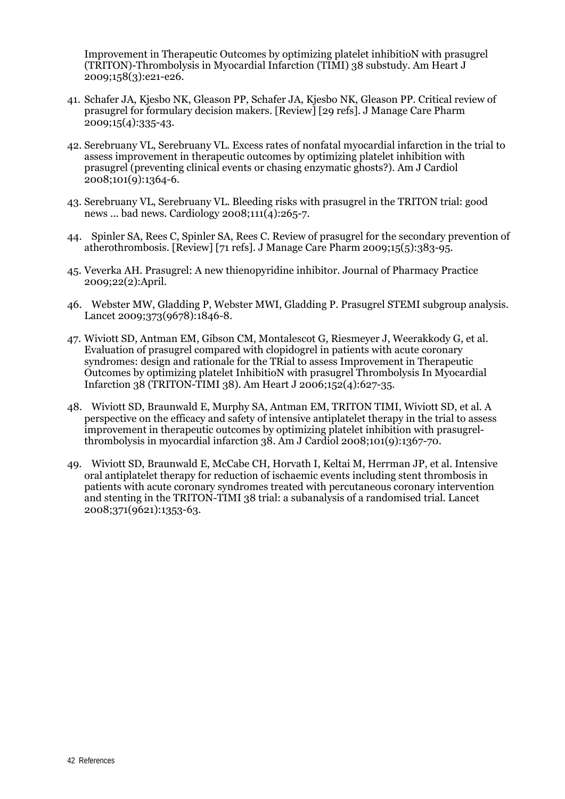Improvement in Therapeutic Outcomes by optimizing platelet inhibitioN with prasugrel (TRITON)-Thrombolysis in Myocardial Infarction (TIMI) 38 substudy. Am Heart J 2009;158(3):e21-e26.

- 41. Schafer JA, Kjesbo NK, Gleason PP, Schafer JA, Kjesbo NK, Gleason PP. Critical review of prasugrel for formulary decision makers. [Review] [29 refs]. J Manage Care Pharm 2009;15(4):335-43.
- 42. Serebruany VL, Serebruany VL. Excess rates of nonfatal myocardial infarction in the trial to assess improvement in therapeutic outcomes by optimizing platelet inhibition with prasugrel (preventing clinical events or chasing enzymatic ghosts?). Am J Cardiol 2008;101(9):1364-6.
- 43. Serebruany VL, Serebruany VL. Bleeding risks with prasugrel in the TRITON trial: good news ... bad news. Cardiology 2008;111(4):265-7.
- 44. Spinler SA, Rees C, Spinler SA, Rees C. Review of prasugrel for the secondary prevention of atherothrombosis. [Review] [71 refs]. J Manage Care Pharm 2009;15(5):383-95.
- 45. Veverka AH. Prasugrel: A new thienopyridine inhibitor. Journal of Pharmacy Practice 2009;22(2):April.
- 46. Webster MW, Gladding P, Webster MWI, Gladding P. Prasugrel STEMI subgroup analysis. Lancet 2009;373(9678):1846-8.
- 47. Wiviott SD, Antman EM, Gibson CM, Montalescot G, Riesmeyer J, Weerakkody G, et al. Evaluation of prasugrel compared with clopidogrel in patients with acute coronary syndromes: design and rationale for the TRial to assess Improvement in Therapeutic Outcomes by optimizing platelet InhibitioN with prasugrel Thrombolysis In Myocardial Infarction 38 (TRITON-TIMI 38). Am Heart J 2006;152(4):627-35.
- 48. Wiviott SD, Braunwald E, Murphy SA, Antman EM, TRITON TIMI, Wiviott SD, et al. A perspective on the efficacy and safety of intensive antiplatelet therapy in the trial to assess improvement in therapeutic outcomes by optimizing platelet inhibition with prasugrelthrombolysis in myocardial infarction 38. Am J Cardiol 2008;101(9):1367-70.
- 49. Wiviott SD, Braunwald E, McCabe CH, Horvath I, Keltai M, Herrman JP, et al. Intensive oral antiplatelet therapy for reduction of ischaemic events including stent thrombosis in patients with acute coronary syndromes treated with percutaneous coronary intervention and stenting in the TRITON-TIMI 38 trial: a subanalysis of a randomised trial. Lancet 2008;371(9621):1353-63.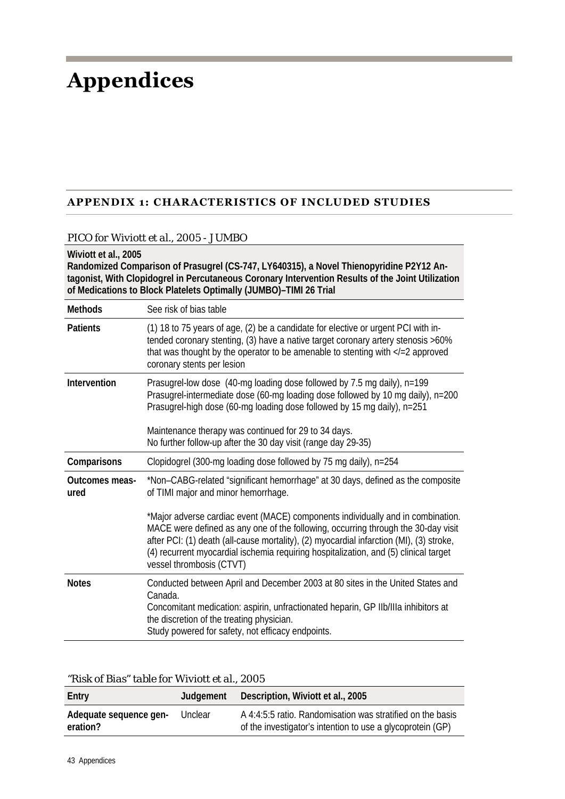## **Appendices**

### **APPENDIX 1: CHARACTERISTICS OF INCLUDED STUDIES**

#### *PICO for Wiviott et al., 2005 - JUMBO*

#### **Wiviott et al., 2005**

**Randomized Comparison of Prasugrel (CS-747, LY640315), a Novel Thienopyridine P2Y12 Antagonist, With Clopidogrel in Percutaneous Coronary Intervention Results of the Joint Utilization of Medications to Block Platelets Optimally (JUMBO)–TIMI 26 Trial** 

| <b>Methods</b>                | See risk of bias table                                                                                                                                                                                                                                                                                                                                                              |
|-------------------------------|-------------------------------------------------------------------------------------------------------------------------------------------------------------------------------------------------------------------------------------------------------------------------------------------------------------------------------------------------------------------------------------|
| <b>Patients</b>               | (1) 18 to 75 years of age, (2) be a candidate for elective or urgent PCI with in-<br>tended coronary stenting, (3) have a native target coronary artery stenosis >60%<br>that was thought by the operator to be amenable to stenting with $\langle -2 \rangle$ approved<br>coronary stents per lesion                                                                               |
| Intervention                  | Prasugrel-low dose (40-mg loading dose followed by 7.5 mg daily), n=199<br>Prasugrel-intermediate dose (60-mg loading dose followed by 10 mg daily), n=200<br>Prasugrel-high dose (60-mg loading dose followed by 15 mg daily), n=251<br>Maintenance therapy was continued for 29 to 34 days.<br>No further follow-up after the 30 day visit (range day 29-35)                      |
| Comparisons                   | Clopidogrel (300-mg loading dose followed by 75 mg daily), n=254                                                                                                                                                                                                                                                                                                                    |
| <b>Outcomes meas-</b><br>ured | *Non-CABG-related "significant hemorrhage" at 30 days, defined as the composite<br>of TIMI major and minor hemorrhage.                                                                                                                                                                                                                                                              |
|                               | *Major adverse cardiac event (MACE) components individually and in combination.<br>MACE were defined as any one of the following, occurring through the 30-day visit<br>after PCI: (1) death (all-cause mortality), (2) myocardial infarction (MI), (3) stroke,<br>(4) recurrent myocardial ischemia requiring hospitalization, and (5) clinical target<br>vessel thrombosis (CTVT) |
| <b>Notes</b>                  | Conducted between April and December 2003 at 80 sites in the United States and<br>Canada.<br>Concomitant medication: aspirin, unfractionated heparin, GP IIb/IIIa inhibitors at<br>the discretion of the treating physician.<br>Study powered for safety, not efficacy endpoints.                                                                                                   |

| "Risk of Bias" table for Wiviott et al., 2005 |  |  |  |  |
|-----------------------------------------------|--|--|--|--|
|-----------------------------------------------|--|--|--|--|

| Entry                              | Judaement | Description, Wiviott et al., 2005                                                                                        |
|------------------------------------|-----------|--------------------------------------------------------------------------------------------------------------------------|
| Adequate sequence gen-<br>eration? | Unclear   | A 4:4:5:5 ratio. Randomisation was stratified on the basis<br>of the investigator's intention to use a glycoprotein (GP) |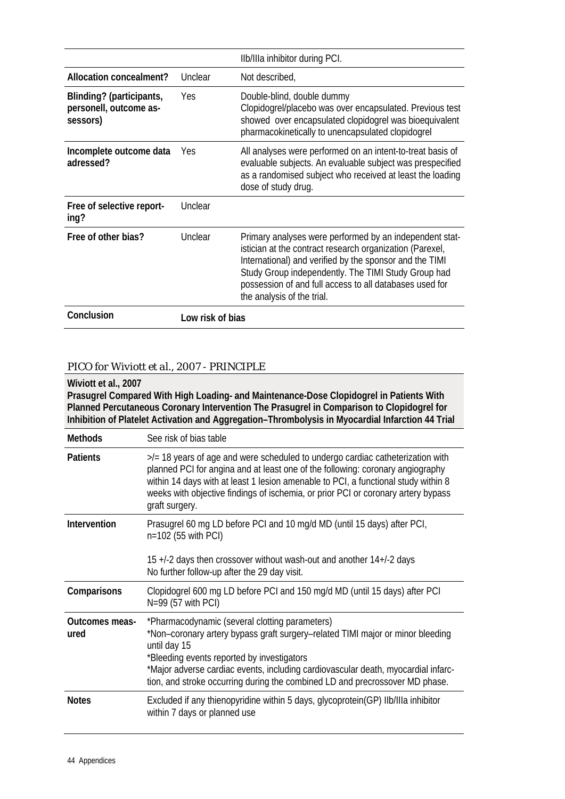|                                                                |                  | Ilb/IIIa inhibitor during PCI.                                                                                                                                                                                                                                                                                                 |
|----------------------------------------------------------------|------------------|--------------------------------------------------------------------------------------------------------------------------------------------------------------------------------------------------------------------------------------------------------------------------------------------------------------------------------|
| Allocation concealment?                                        | Unclear          | Not described,                                                                                                                                                                                                                                                                                                                 |
| Blinding? (participants,<br>personell, outcome as-<br>sessors) | Yes              | Double-blind, double dummy<br>Clopidogrel/placebo was over encapsulated. Previous test<br>showed over encapsulated clopidogrel was bioequivalent<br>pharmacokinetically to unencapsulated clopidogrel                                                                                                                          |
| Incomplete outcome data<br>adressed?                           | Yes              | All analyses were performed on an intent-to-treat basis of<br>evaluable subjects. An evaluable subject was prespecified<br>as a randomised subject who received at least the loading<br>dose of study drug.                                                                                                                    |
| Free of selective report-<br>ing?                              | Unclear          |                                                                                                                                                                                                                                                                                                                                |
| Free of other bias?                                            | Unclear          | Primary analyses were performed by an independent stat-<br>istician at the contract research organization (Parexel,<br>International) and verified by the sponsor and the TIMI<br>Study Group independently. The TIMI Study Group had<br>possession of and full access to all databases used for<br>the analysis of the trial. |
| Conclusion                                                     | Low risk of bias |                                                                                                                                                                                                                                                                                                                                |

### *PICO for Wiviott et al., 2007 - PRINCIPLE*

**Wiviott et al., 2007 Prasugrel Compared With High Loading- and Maintenance-Dose Clopidogrel in Patients With Planned Percutaneous Coronary Intervention The Prasugrel in Comparison to Clopidogrel for Inhibition of Platelet Activation and Aggregation–Thrombolysis in Myocardial Infarction 44 Trial** 

| <b>Methods</b>         | See risk of bias table                                                                                                                                                                                                                                                                                                                                              |
|------------------------|---------------------------------------------------------------------------------------------------------------------------------------------------------------------------------------------------------------------------------------------------------------------------------------------------------------------------------------------------------------------|
| <b>Patients</b>        | $\ge$ /= 18 years of age and were scheduled to undergo cardiac catheterization with<br>planned PCI for angina and at least one of the following: coronary angiography<br>within 14 days with at least 1 lesion amenable to PCI, a functional study within 8<br>weeks with objective findings of ischemia, or prior PCI or coronary artery bypass<br>graft surgery.  |
| Intervention           | Prasugrel 60 mg LD before PCI and 10 mg/d MD (until 15 days) after PCI,<br>n=102 (55 with PCI)<br>15 +/-2 days then crossover without wash-out and another 14+/-2 days<br>No further follow-up after the 29 day visit.                                                                                                                                              |
| Comparisons            | Clopidogrel 600 mg LD before PCI and 150 mg/d MD (until 15 days) after PCI<br>$N=99$ (57 with PCI)                                                                                                                                                                                                                                                                  |
| Outcomes meas-<br>ured | *Pharmacodynamic (several clotting parameters)<br>*Non-coronary artery bypass graft surgery-related TIMI major or minor bleeding<br>until day 15<br>*Bleeding events reported by investigators<br>*Major adverse cardiac events, including cardiovascular death, myocardial infarc-<br>tion, and stroke occurring during the combined LD and precrossover MD phase. |
| <b>Notes</b>           | Excluded if any thienopyridine within 5 days, glycoprotein(GP) Ilb/IIIa inhibitor<br>within 7 days or planned use                                                                                                                                                                                                                                                   |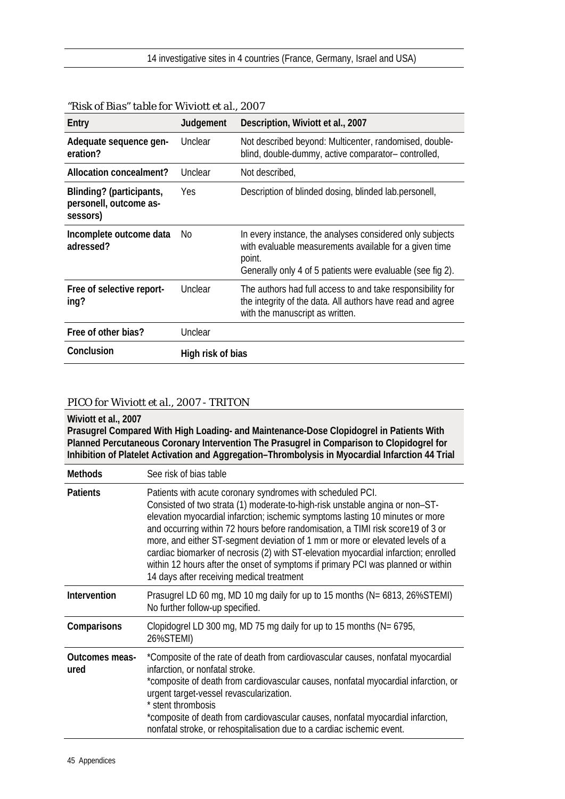| Entry                                                          | Judgement         | Description, Wiviott et al., 2007                                                                                                                                                          |
|----------------------------------------------------------------|-------------------|--------------------------------------------------------------------------------------------------------------------------------------------------------------------------------------------|
| Adequate sequence gen-<br>eration?                             | Unclear           | Not described beyond: Multicenter, randomised, double-<br>blind, double-dummy, active comparator-controlled,                                                                               |
| Allocation concealment?                                        | Unclear           | Not described,                                                                                                                                                                             |
| Blinding? (participants,<br>personell, outcome as-<br>sessors) | Yes.              | Description of blinded dosing, blinded lab.personell,                                                                                                                                      |
| Incomplete outcome data<br>adressed?                           | No.               | In every instance, the analyses considered only subjects<br>with evaluable measurements available for a given time<br>point.<br>Generally only 4 of 5 patients were evaluable (see fig 2). |
| Free of selective report-<br>ing?                              | Unclear           | The authors had full access to and take responsibility for<br>the integrity of the data. All authors have read and agree<br>with the manuscript as written.                                |
| Free of other bias?                                            | Unclear           |                                                                                                                                                                                            |
| Conclusion                                                     | High risk of bias |                                                                                                                                                                                            |

#### *"Risk of Bias" table for Wiviott et al., 2007*

#### *PICO for Wiviott et al., 2007 - TRITON*

**Wiviott et al., 2007 Prasugrel Compared With High Loading- and Maintenance-Dose Clopidogrel in Patients With Planned Percutaneous Coronary Intervention The Prasugrel in Comparison to Clopidogrel for Inhibition of Platelet Activation and Aggregation–Thrombolysis in Myocardial Infarction 44 Trial** 

| <b>Methods</b>                | See risk of bias table                                                                                                                                                                                                                                                                                                                                                                                                                                                                                                                                                                                                  |
|-------------------------------|-------------------------------------------------------------------------------------------------------------------------------------------------------------------------------------------------------------------------------------------------------------------------------------------------------------------------------------------------------------------------------------------------------------------------------------------------------------------------------------------------------------------------------------------------------------------------------------------------------------------------|
| <b>Patients</b>               | Patients with acute coronary syndromes with scheduled PCI.<br>Consisted of two strata (1) moderate-to-high-risk unstable angina or non-ST-<br>elevation myocardial infarction; ischemic symptoms lasting 10 minutes or more<br>and occurring within 72 hours before randomisation, a TIMI risk score19 of 3 or<br>more, and either ST-segment deviation of 1 mm or more or elevated levels of a<br>cardiac biomarker of necrosis (2) with ST-elevation myocardial infarction; enrolled<br>within 12 hours after the onset of symptoms if primary PCI was planned or within<br>14 days after receiving medical treatment |
| Intervention                  | Prasugrel LD 60 mg, MD 10 mg daily for up to 15 months (N= 6813, 26%STEMI)<br>No further follow-up specified.                                                                                                                                                                                                                                                                                                                                                                                                                                                                                                           |
| Comparisons                   | Clopidogrel LD 300 mg, MD 75 mg daily for up to 15 months (N= 6795,<br>26%STEMI)                                                                                                                                                                                                                                                                                                                                                                                                                                                                                                                                        |
| <b>Outcomes meas-</b><br>ured | *Composite of the rate of death from cardiovascular causes, nonfatal myocardial<br>infarction, or nonfatal stroke.<br>*composite of death from cardiovascular causes, nonfatal myocardial infarction, or<br>urgent target-vessel revascularization.<br>* stent thrombosis<br>*composite of death from cardiovascular causes, nonfatal myocardial infarction,<br>nonfatal stroke, or rehospitalisation due to a cardiac ischemic event.                                                                                                                                                                                  |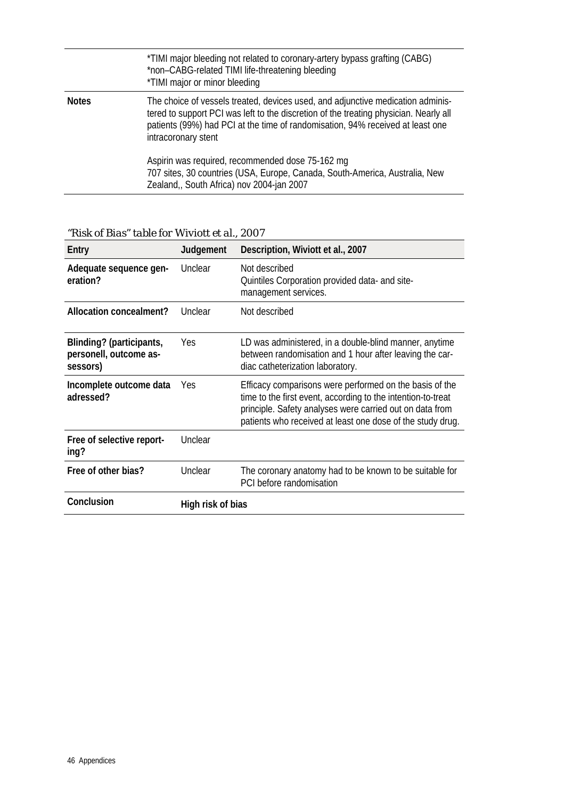|              | *TIMI major bleeding not related to coronary-artery bypass grafting (CABG)<br>*non-CABG-related TIMI life-threatening bleeding<br>*TIMI major or minor bleeding                                                                                                                   |
|--------------|-----------------------------------------------------------------------------------------------------------------------------------------------------------------------------------------------------------------------------------------------------------------------------------|
| <b>Notes</b> | The choice of vessels treated, devices used, and adjunctive medication adminis-<br>tered to support PCI was left to the discretion of the treating physician. Nearly all<br>patients (99%) had PCI at the time of randomisation, 94% received at least one<br>intracoronary stent |
|              | Aspirin was required, recommended dose 75-162 mg<br>707 sites, 30 countries (USA, Europe, Canada, South-America, Australia, New<br>Zealand, South Africa) nov 2004-jan 2007                                                                                                       |
|              |                                                                                                                                                                                                                                                                                   |

*"Risk of Bias" table for Wiviott et al., 2007* 

| Entry                                                          | Judgement         | Description, Wiviott et al., 2007                                                                                                                                                                                                                 |  |  |  |  |
|----------------------------------------------------------------|-------------------|---------------------------------------------------------------------------------------------------------------------------------------------------------------------------------------------------------------------------------------------------|--|--|--|--|
| Adequate sequence gen-<br>eration?                             | Unclear           | Not described<br>Quintiles Corporation provided data- and site-<br>management services.                                                                                                                                                           |  |  |  |  |
| Allocation concealment?                                        | Unclear           | Not described                                                                                                                                                                                                                                     |  |  |  |  |
| Blinding? (participants,<br>personell, outcome as-<br>sessors) | Yes               | LD was administered, in a double-blind manner, anytime<br>between randomisation and 1 hour after leaving the car-<br>diac catheterization laboratory.                                                                                             |  |  |  |  |
| Incomplete outcome data<br>adressed?                           | Yes.              | Efficacy comparisons were performed on the basis of the<br>time to the first event, according to the intention-to-treat<br>principle. Safety analyses were carried out on data from<br>patients who received at least one dose of the study drug. |  |  |  |  |
| Free of selective report-<br>ing?                              | Unclear           |                                                                                                                                                                                                                                                   |  |  |  |  |
| Free of other bias?                                            | Unclear           | The coronary anatomy had to be known to be suitable for<br>PCI before randomisation                                                                                                                                                               |  |  |  |  |
| Conclusion                                                     | High risk of bias |                                                                                                                                                                                                                                                   |  |  |  |  |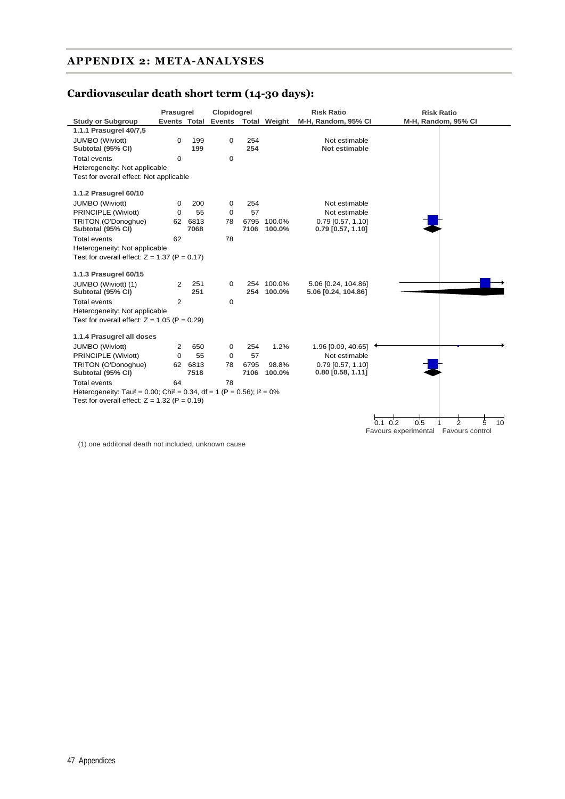### **APPENDIX 2: META-ANALYSES**

### **Cardiovascular death short term (14-30 days):**

|                                                                                                 | Prasugrel      |                 | Clopidogrel          |              |                  | <b>Risk Ratio</b>                          | <b>Risk Ratio</b>                                            |
|-------------------------------------------------------------------------------------------------|----------------|-----------------|----------------------|--------------|------------------|--------------------------------------------|--------------------------------------------------------------|
| <b>Study or Subgroup</b>                                                                        | Events Total   |                 | Events Total Weight  |              |                  | M-H, Random, 95% CI                        | M-H, Random, 95% CI                                          |
| 1.1.1 Prasugrel 40/7,5                                                                          |                |                 |                      |              |                  |                                            |                                                              |
| <b>JUMBO</b> (Wiviott)<br>Subtotal (95% CI)                                                     | 0              | 199<br>199      | 0                    | 254<br>254   |                  | Not estimable<br>Not estimable             |                                                              |
| Total events                                                                                    | 0              |                 | $\Omega$             |              |                  |                                            |                                                              |
| Heterogeneity: Not applicable                                                                   |                |                 |                      |              |                  |                                            |                                                              |
| Test for overall effect: Not applicable                                                         |                |                 |                      |              |                  |                                            |                                                              |
| 1.1.2 Prasugrel 60/10                                                                           |                |                 |                      |              |                  |                                            |                                                              |
|                                                                                                 |                |                 |                      |              |                  |                                            |                                                              |
| <b>JUMBO</b> (Wiviott)                                                                          | 0              | 200             | 0                    | 254          |                  | Not estimable                              |                                                              |
| PRINCIPLE (Wiviott)                                                                             | $\Omega$       | 55              | $\mathbf 0$          | 57           |                  | Not estimable                              |                                                              |
| TRITON (O'Donoghue)<br>Subtotal (95% CI)                                                        |                | 62 6813<br>7068 | 78                   | 6795<br>7106 | 100.0%<br>100.0% | $0.79$ [0.57, 1.10]<br>$0.79$ [0.57, 1.10] |                                                              |
|                                                                                                 |                |                 |                      |              |                  |                                            |                                                              |
| <b>Total events</b>                                                                             | 62             |                 | 78                   |              |                  |                                            |                                                              |
| Heterogeneity: Not applicable<br>Test for overall effect: $Z = 1.37$ (P = 0.17)                 |                |                 |                      |              |                  |                                            |                                                              |
|                                                                                                 |                |                 |                      |              |                  |                                            |                                                              |
| 1.1.3 Prasugrel 60/15                                                                           |                |                 |                      |              |                  |                                            |                                                              |
| JUMBO (Wiviott) (1)                                                                             | 2              | 251             | $\Omega$             |              | 254 100.0%       | 5.06 [0.24, 104.86]                        |                                                              |
| Subtotal (95% CI)                                                                               |                | 251             |                      | 254          | 100.0%           | 5.06 [0.24, 104.86]                        |                                                              |
| Total events                                                                                    | $\overline{2}$ |                 | $\mathbf 0$          |              |                  |                                            |                                                              |
| Heterogeneity: Not applicable                                                                   |                |                 |                      |              |                  |                                            |                                                              |
| Test for overall effect: $Z = 1.05$ (P = 0.29)                                                  |                |                 |                      |              |                  |                                            |                                                              |
| 1.1.4 Prasugrel all doses                                                                       |                |                 |                      |              |                  |                                            |                                                              |
|                                                                                                 |                | 650             |                      |              |                  |                                            |                                                              |
| JUMBO (Wiviott)<br>PRINCIPLE (Wiviott)                                                          | 2<br>$\Omega$  | 55              | $\Omega$<br>$\Omega$ | 254<br>57    | 1.2%             | 1.96 [0.09, 40.65]<br>Not estimable        |                                                              |
| TRITON (O'Donoghue)                                                                             |                | 62 6813         | 78                   | 6795         | 98.8%            | $0.79$ [0.57, 1.10]                        |                                                              |
| Subtotal (95% CI)                                                                               |                | 7518            |                      | 7106         | 100.0%           | $0.80$ [0.58, 1.11]                        |                                                              |
| <b>Total events</b>                                                                             | 64             |                 | 78                   |              |                  |                                            |                                                              |
| Heterogeneity: Tau <sup>2</sup> = 0.00; Chi <sup>2</sup> = 0.34, df = 1 (P = 0.56); $I^2 = 0\%$ |                |                 |                      |              |                  |                                            |                                                              |
| Test for overall effect: $Z = 1.32$ (P = 0.19)                                                  |                |                 |                      |              |                  |                                            |                                                              |
|                                                                                                 |                |                 |                      |              |                  |                                            |                                                              |
|                                                                                                 |                |                 |                      |              |                  |                                            | $0.1 \ 0.2$<br>0.5<br>$\overline{2}$<br>5<br>10 <sup>2</sup> |
|                                                                                                 |                |                 |                      |              |                  |                                            |                                                              |

Favours experimental Favours control

(1) one additonal death not included, unknown cause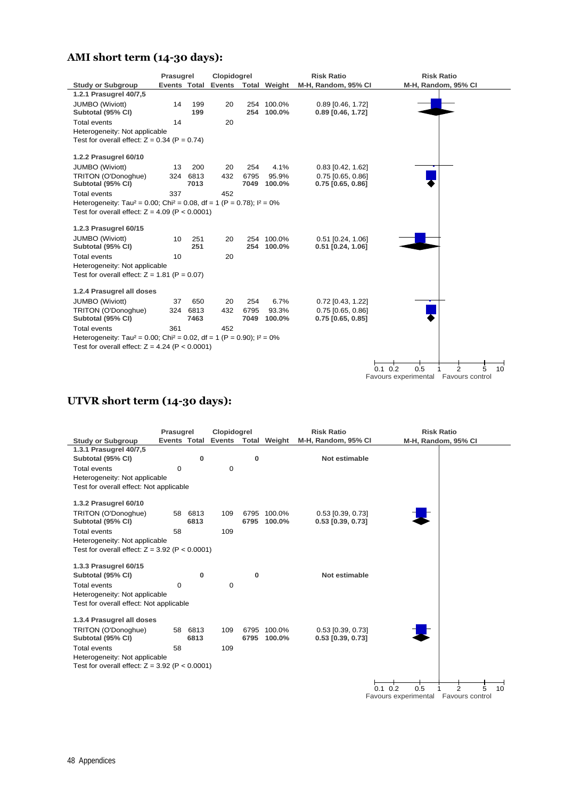### **AMI short term (14-30 days):**

|                                                                                                 | Prasugrel    |      | Clopidogrel |      |                     | <b>Risk Ratio</b>   | <b>Risk Ratio</b>                               |
|-------------------------------------------------------------------------------------------------|--------------|------|-------------|------|---------------------|---------------------|-------------------------------------------------|
| <b>Study or Subgroup</b>                                                                        | Events Total |      |             |      | Events Total Weight | M-H, Random, 95% CI | M-H, Random, 95% CI                             |
| 1.2.1 Prasugrel 40/7.5                                                                          |              |      |             |      |                     |                     |                                                 |
| <b>JUMBO</b> (Wiviott)                                                                          | 14           | 199  | 20          |      | 254 100.0%          | 0.89 [0.46, 1.72]   |                                                 |
| Subtotal (95% CI)                                                                               |              | 199  |             | 254  | 100.0%              | $0.89$ [0.46, 1.72] |                                                 |
| <b>Total events</b>                                                                             | 14           |      | 20          |      |                     |                     |                                                 |
| Heterogeneity: Not applicable                                                                   |              |      |             |      |                     |                     |                                                 |
| Test for overall effect: $Z = 0.34$ (P = 0.74)                                                  |              |      |             |      |                     |                     |                                                 |
| 1.2.2 Prasugrel 60/10                                                                           |              |      |             |      |                     |                     |                                                 |
| <b>JUMBO</b> (Wiviott)                                                                          | 13           | 200  | 20          | 254  | 4.1%                | $0.83$ [0.42, 1.62] |                                                 |
| TRITON (O'Donoghue)                                                                             | 324          | 6813 | 432         | 6795 | 95.9%               | $0.75$ [0.65, 0.86] |                                                 |
| Subtotal (95% CI)                                                                               |              | 7013 |             | 7049 | 100.0%              | $0.75$ [0.65, 0.86] |                                                 |
| <b>Total events</b>                                                                             | 337          |      | 452         |      |                     |                     |                                                 |
| Heterogeneity: Tau <sup>2</sup> = 0.00; Chi <sup>2</sup> = 0.08, df = 1 (P = 0.78); $I^2 = 0\%$ |              |      |             |      |                     |                     |                                                 |
| Test for overall effect: $Z = 4.09$ (P < 0.0001)                                                |              |      |             |      |                     |                     |                                                 |
|                                                                                                 |              |      |             |      |                     |                     |                                                 |
| 1.2.3 Prasugrel 60/15                                                                           |              |      |             |      |                     |                     |                                                 |
| <b>JUMBO</b> (Wiviott)                                                                          | 10           | 251  | 20          |      | 254 100.0%          | 0.51 [0.24, 1.06]   |                                                 |
| Subtotal (95% CI)                                                                               |              | 251  |             |      | 254 100.0%          | $0.51$ [0.24, 1.06] |                                                 |
| <b>Total events</b>                                                                             | 10           |      | 20          |      |                     |                     |                                                 |
| Heterogeneity: Not applicable                                                                   |              |      |             |      |                     |                     |                                                 |
| Test for overall effect: $Z = 1.81$ (P = 0.07)                                                  |              |      |             |      |                     |                     |                                                 |
| 1.2.4 Prasugrel all doses                                                                       |              |      |             |      |                     |                     |                                                 |
| <b>JUMBO</b> (Wiviott)                                                                          | 37           | 650  | 20          | 254  | 6.7%                | 0.72 [0.43, 1.22]   |                                                 |
| TRITON (O'Donoghue)                                                                             | 324          | 6813 | 432         | 6795 | 93.3%               | $0.75$ [0.65, 0.86] |                                                 |
| Subtotal (95% CI)                                                                               |              | 7463 |             | 7049 | 100.0%              | $0.75$ [0.65, 0.85] |                                                 |
| <b>Total events</b>                                                                             | 361          |      | 452         |      |                     |                     |                                                 |
| Heterogeneity: Tau <sup>2</sup> = 0.00; Chi <sup>2</sup> = 0.02, df = 1 (P = 0.90); $I^2 = 0\%$ |              |      |             |      |                     |                     |                                                 |
| Test for overall effect: $Z = 4.24$ (P < 0.0001)                                                |              |      |             |      |                     |                     |                                                 |
|                                                                                                 |              |      |             |      |                     |                     |                                                 |
|                                                                                                 |              |      |             |      |                     |                     | 0.5<br>$\overline{2}$<br>$0.1 \ 0.2$<br>5<br>10 |
|                                                                                                 |              |      |             |      |                     |                     | Favours experimental Favours control            |

### **UTVR short term (14-30 days):**

|                                                  | Prasugrel   |          | Clopidogrel                |      |                     | <b>Risk Ratio</b>   | <b>Risk Ratio</b>    |                           |
|--------------------------------------------------|-------------|----------|----------------------------|------|---------------------|---------------------|----------------------|---------------------------|
| <b>Study or Subgroup</b>                         |             |          | <b>Events Total Events</b> |      | <b>Total Weight</b> | M-H, Random, 95% CI |                      | M-H, Random, 95% CI       |
| 1.3.1 Prasugrel 40/7,5                           |             |          |                            |      |                     |                     |                      |                           |
| Subtotal (95% CI)                                |             | $\bf{0}$ |                            | 0    |                     | Not estimable       |                      |                           |
| <b>Total events</b>                              | $\mathbf 0$ |          | $\mathbf 0$                |      |                     |                     |                      |                           |
| Heterogeneity: Not applicable                    |             |          |                            |      |                     |                     |                      |                           |
| Test for overall effect: Not applicable          |             |          |                            |      |                     |                     |                      |                           |
|                                                  |             |          |                            |      |                     |                     |                      |                           |
| 1.3.2 Prasugrel 60/10                            |             |          |                            |      |                     |                     |                      |                           |
| TRITON (O'Donoghue)                              |             | 58 6813  | 109                        | 6795 | 100.0%              | $0.53$ [0.39, 0.73] |                      |                           |
| Subtotal (95% CI)                                |             | 6813     |                            | 6795 | 100.0%              | $0.53$ [0.39, 0.73] |                      |                           |
| <b>Total events</b>                              | 58          |          | 109                        |      |                     |                     |                      |                           |
| Heterogeneity: Not applicable                    |             |          |                            |      |                     |                     |                      |                           |
| Test for overall effect: $Z = 3.92$ (P < 0.0001) |             |          |                            |      |                     |                     |                      |                           |
|                                                  |             |          |                            |      |                     |                     |                      |                           |
| 1.3.3 Prasugrel 60/15                            |             |          |                            |      |                     |                     |                      |                           |
| Subtotal (95% CI)                                |             | $\bf{0}$ |                            | 0    |                     | Not estimable       |                      |                           |
| <b>Total events</b>                              | $\mathbf 0$ |          | $\mathbf 0$                |      |                     |                     |                      |                           |
| Heterogeneity: Not applicable                    |             |          |                            |      |                     |                     |                      |                           |
| Test for overall effect: Not applicable          |             |          |                            |      |                     |                     |                      |                           |
|                                                  |             |          |                            |      |                     |                     |                      |                           |
| 1.3.4 Prasugrel all doses                        |             |          |                            |      |                     |                     |                      |                           |
| TRITON (O'Donoghue)                              |             | 58 6813  | 109                        |      | 6795 100.0%         | 0.53 [0.39, 0.73]   |                      |                           |
| Subtotal (95% CI)                                |             | 6813     |                            | 6795 | 100.0%              | $0.53$ [0.39, 0.73] |                      |                           |
| Total events                                     | 58          |          | 109                        |      |                     |                     |                      |                           |
| Heterogeneity: Not applicable                    |             |          |                            |      |                     |                     |                      |                           |
| Test for overall effect: $Z = 3.92$ (P < 0.0001) |             |          |                            |      |                     |                     |                      |                           |
|                                                  |             |          |                            |      |                     |                     |                      |                           |
|                                                  |             |          |                            |      |                     |                     | 0.5<br>02<br>O 1     | $\mathfrak{p}$<br>10<br>5 |
|                                                  |             |          |                            |      |                     |                     | Favours experimental | Favours control           |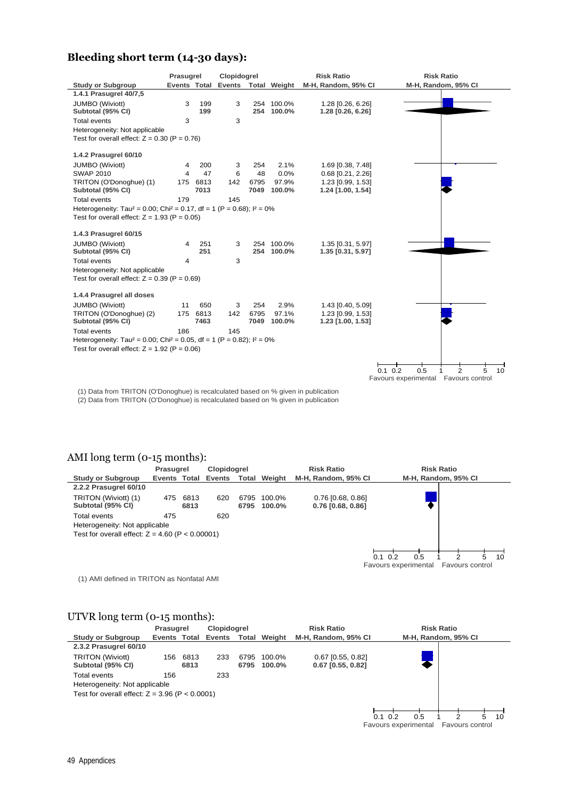### **Bleeding short term (14-30 days):**

|                                                                                                 | Prasugrel      |          | Clopidogrel |      |                     | <b>Risk Ratio</b>   | <b>Risk Ratio</b>                               |
|-------------------------------------------------------------------------------------------------|----------------|----------|-------------|------|---------------------|---------------------|-------------------------------------------------|
| <b>Study or Subgroup</b>                                                                        | Events Total   |          |             |      | Events Total Weight | M-H, Random, 95% CI | M-H, Random, 95% CI                             |
| 1.4.1 Prasugrel 40/7,5                                                                          |                |          |             |      |                     |                     |                                                 |
| <b>JUMBO</b> (Wiviott)                                                                          | 3              | 199      | 3           |      | 254 100.0%          | 1.28 [0.26, 6.26]   |                                                 |
| Subtotal (95% CI)                                                                               |                | 199      |             |      | 254 100.0%          | 1.28 [0.26, 6.26]   |                                                 |
| Total events                                                                                    | 3              |          | 3           |      |                     |                     |                                                 |
| Heterogeneity: Not applicable                                                                   |                |          |             |      |                     |                     |                                                 |
| Test for overall effect: $Z = 0.30$ (P = 0.76)                                                  |                |          |             |      |                     |                     |                                                 |
| 1.4.2 Prasugrel 60/10                                                                           |                |          |             |      |                     |                     |                                                 |
| <b>JUMBO</b> (Wiviott)                                                                          | 4              | 200      | 3           | 254  | 2.1%                | 1.69 [0.38, 7.48]   |                                                 |
| <b>SWAP 2010</b>                                                                                | $\overline{4}$ | 47       | 6           | 48   | 0.0%                | $0.68$ [0.21, 2.26] |                                                 |
| TRITON (O'Donoghue) (1)                                                                         |                | 175 6813 | 142         | 6795 | 97.9%               | 1.23 [0.99, 1.53]   |                                                 |
| Subtotal (95% CI)                                                                               |                | 7013     |             | 7049 | 100.0%              | 1.24 [1.00, 1.54]   |                                                 |
| <b>Total events</b>                                                                             | 179            |          | 145         |      |                     |                     |                                                 |
| Heterogeneity: Tau <sup>2</sup> = 0.00; Chi <sup>2</sup> = 0.17, df = 1 (P = 0.68); $I^2 = 0\%$ |                |          |             |      |                     |                     |                                                 |
| Test for overall effect: $Z = 1.93$ (P = 0.05)                                                  |                |          |             |      |                     |                     |                                                 |
| 1.4.3 Prasugrel 60/15                                                                           |                |          |             |      |                     |                     |                                                 |
| <b>JUMBO</b> (Wiviott)                                                                          | 4              | 251      | 3           |      | 254 100.0%          | 1.35 [0.31, 5.97]   |                                                 |
| Subtotal (95% CI)                                                                               |                | 251      |             |      | 254 100.0%          | 1.35 [0.31, 5.97]   |                                                 |
| <b>Total events</b>                                                                             | 4              |          | 3           |      |                     |                     |                                                 |
| Heterogeneity: Not applicable                                                                   |                |          |             |      |                     |                     |                                                 |
| Test for overall effect: $Z = 0.39$ (P = 0.69)                                                  |                |          |             |      |                     |                     |                                                 |
| 1.4.4 Prasugrel all doses                                                                       |                |          |             |      |                     |                     |                                                 |
| <b>JUMBO</b> (Wiviott)                                                                          | 11             | 650      | 3           | 254  | 2.9%                | 1.43 [0.40, 5.09]   |                                                 |
| TRITON (O'Donoghue) (2)                                                                         | 175            | 6813     | 142         | 6795 | 97.1%               | 1.23 [0.99, 1.53]   |                                                 |
| Subtotal (95% CI)                                                                               |                | 7463     |             | 7049 | 100.0%              | 1.23 [1.00, 1.53]   |                                                 |
| Total events                                                                                    | 186            |          | 145         |      |                     |                     |                                                 |
| Heterogeneity: Tau <sup>2</sup> = 0.00; Chi <sup>2</sup> = 0.05, df = 1 (P = 0.82); $I^2 = 0\%$ |                |          |             |      |                     |                     |                                                 |
| Test for overall effect: $Z = 1.92$ (P = 0.06)                                                  |                |          |             |      |                     |                     |                                                 |
|                                                                                                 |                |          |             |      |                     |                     |                                                 |
|                                                                                                 |                |          |             |      |                     |                     | 0.5<br>$0.1 \ 0.2$<br>10 <sup>1</sup><br>2<br>5 |
|                                                                                                 |                |          |             |      |                     |                     | Favours experimental Favours control            |

(1) Data from TRITON (O'Donoghue) is recalculated based on % given in publication (2) Data from TRITON (O'Donoghue) is recalculated based on % given in publication

### AMI long term (0-15 months):

|                                                   | Prasugrel    |              | <b>Clopidogrel</b> |              |                  | <b>Risk Ratio</b>                          |                                           | <b>Risk Ratio</b>      |    |  |
|---------------------------------------------------|--------------|--------------|--------------------|--------------|------------------|--------------------------------------------|-------------------------------------------|------------------------|----|--|
| <b>Study or Subgroup</b>                          | Events Total |              | Events             | Total        | Weight           | M-H, Random, 95% CI                        |                                           | M-H, Random, 95% CI    |    |  |
| 2.2.2 Prasugrel 60/10                             |              |              |                    |              |                  |                                            |                                           |                        |    |  |
| TRITON (Wiviott) (1)<br>Subtotal (95% CI)         | 475          | 6813<br>6813 | 620                | 6795<br>6795 | 100.0%<br>100.0% | $0.76$ [0.68, 0.86]<br>$0.76$ [0.68, 0.86] |                                           |                        |    |  |
| Total events                                      | 475          |              | 620                |              |                  |                                            |                                           |                        |    |  |
| Heterogeneity: Not applicable                     |              |              |                    |              |                  |                                            |                                           |                        |    |  |
| Test for overall effect: $Z = 4.60$ (P < 0.00001) |              |              |                    |              |                  |                                            |                                           |                        |    |  |
|                                                   |              |              |                    |              |                  |                                            |                                           | ◠                      |    |  |
|                                                   |              |              |                    |              |                  |                                            | 0.5<br>0.1<br>0.2<br>Favours experimental | <b>Favours control</b> | 10 |  |

(1) AMI defined in TRITON as Nonfatal AMI

#### UTVR long term (0-15 months):

|                                                                                                   | Prasugrel                 |              | Clopidogrel |              | <b>Risk Ratio</b> |                                            | <b>Risk Ratio</b>                                                            |  |
|---------------------------------------------------------------------------------------------------|---------------------------|--------------|-------------|--------------|-------------------|--------------------------------------------|------------------------------------------------------------------------------|--|
| <b>Study or Subgroup</b>                                                                          | Events Total Events Total |              |             |              | Weight            | M-H, Random, 95% CI                        | M-H, Random, 95% CI                                                          |  |
| 2.3.2 Prasugrel 60/10                                                                             |                           |              |             |              |                   |                                            |                                                                              |  |
| <b>TRITON (Wiviott)</b><br>Subtotal (95% CI)                                                      | 156                       | 6813<br>6813 | 233         | 6795<br>6795 | 100.0%<br>100.0%  | $0.67$ [0.55, 0.82]<br>$0.67$ [0.55, 0.82] |                                                                              |  |
| Total events<br>Heterogeneity: Not applicable<br>Test for overall effect: $Z = 3.96$ (P < 0.0001) | 156                       |              | 233         |              |                   |                                            |                                                                              |  |
|                                                                                                   |                           |              |             |              |                   |                                            | 5<br>0.5<br>10<br>0.2<br>0.1<br>ົ<br>Favours experimental<br>Favours control |  |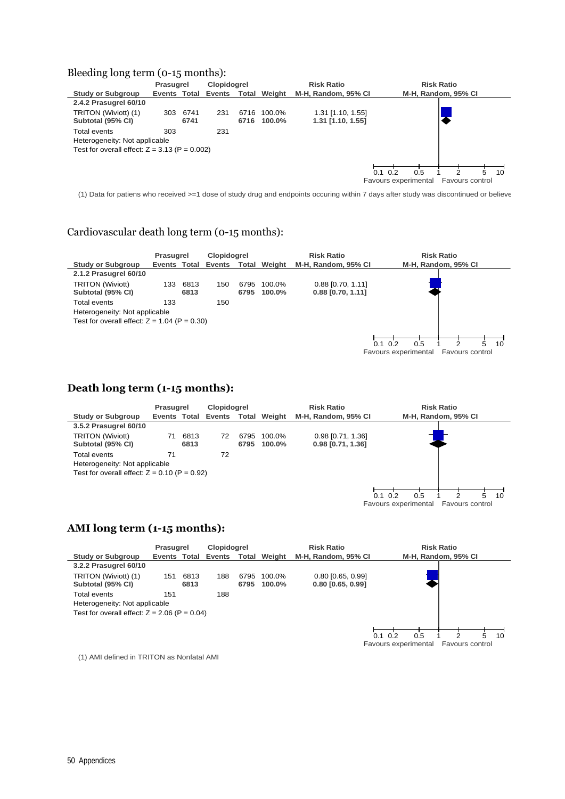#### Bleeding long term (0-15 months):

|                                                                                                  | Prasugrel    |              | <b>Clopidogrel</b> |              |                  | <b>Risk Ratio</b>                      | <b>Risk Ratio</b>                                                              |
|--------------------------------------------------------------------------------------------------|--------------|--------------|--------------------|--------------|------------------|----------------------------------------|--------------------------------------------------------------------------------|
| <b>Study or Subgroup</b>                                                                         | Events Total |              | Events             | Total        | Weight           | M-H, Random, 95% CI                    | M-H, Random, 95% CI                                                            |
| 2.4.2 Prasugrel 60/10                                                                            |              |              |                    |              |                  |                                        |                                                                                |
| TRITON (Wiviott) (1)<br>Subtotal (95% CI)                                                        | 303          | 6741<br>6741 | 231                | 6716<br>6716 | 100.0%<br>100.0% | 1.31 [1.10, 1.55]<br>1.31 [1.10, 1.55] |                                                                                |
| Total events<br>Heterogeneity: Not applicable<br>Test for overall effect: $Z = 3.13$ (P = 0.002) | 303          |              | 231                |              |                  |                                        |                                                                                |
|                                                                                                  |              |              |                    |              |                  |                                        | 0.5<br>5<br>0.1<br>0.2<br>10<br>Favours experimental<br><b>Favours control</b> |

(1) Data for patiens who received >=1 dose of study drug and endpoints occuring within 7 days after study was discontinued or believe

#### Cardiovascular death long term (0-15 months):



#### **Death long term (1-15 months):**

|                                                                                                 | Prasugrel |              | <b>Clopidogrel</b>               |              | <b>Risk Ratio</b> |                                            | <b>Risk Ratio</b>                                                            |
|-------------------------------------------------------------------------------------------------|-----------|--------------|----------------------------------|--------------|-------------------|--------------------------------------------|------------------------------------------------------------------------------|
| <b>Study or Subgroup</b>                                                                        |           |              | Events Total Events Total Weight |              |                   | M-H, Random, 95% CI                        | M-H, Random, 95% CI                                                          |
| 3.5.2 Prasugrel 60/10                                                                           |           |              |                                  |              |                   |                                            |                                                                              |
| <b>TRITON (Wiviott)</b><br>Subtotal (95% CI)                                                    | 71        | 6813<br>6813 | 72                               | 6795<br>6795 | 100.0%<br>100.0%  | $0.98$ [0.71, 1.36]<br>$0.98$ [0.71, 1.36] |                                                                              |
| Total events<br>Heterogeneity: Not applicable<br>Test for overall effect: $Z = 0.10$ (P = 0.92) | 71        |              | 72                               |              |                   |                                            |                                                                              |
|                                                                                                 |           |              |                                  |              |                   |                                            | 10<br>0.1<br>0.2<br>0.5<br>2<br>5<br>Favours experimental<br>Favours control |

#### **AMI long term (1-15 months):**

|                                                                                                 | Prasugrel    |              | Clopidogrel |              |                  | <b>Risk Ratio</b>                          | <b>Risk Ratio</b>                                                            |
|-------------------------------------------------------------------------------------------------|--------------|--------------|-------------|--------------|------------------|--------------------------------------------|------------------------------------------------------------------------------|
| Study or Subgroup                                                                               | Events Total |              | Events      | Total        | Weight           | M-H, Random, 95% CI                        | M-H, Random, 95% CI                                                          |
| 3.2.2 Prasugrel 60/10                                                                           |              |              |             |              |                  |                                            |                                                                              |
| TRITON (Wiviott) (1)<br>Subtotal (95% CI)                                                       | 151          | 6813<br>6813 | 188         | 6795<br>6795 | 100.0%<br>100.0% | $0.80$ [0.65, 0.99]<br>$0.80$ [0.65, 0.99] |                                                                              |
| Total events<br>Heterogeneity: Not applicable<br>Test for overall effect: $Z = 2.06$ (P = 0.04) | 151          |              | 188         |              |                  |                                            |                                                                              |
|                                                                                                 |              |              |             |              |                  |                                            | 10<br>5<br>0.2<br>0.1<br>0.5<br>2<br>Favours control<br>Favours experimental |

(1) AMI defined in TRITON as Nonfatal AMI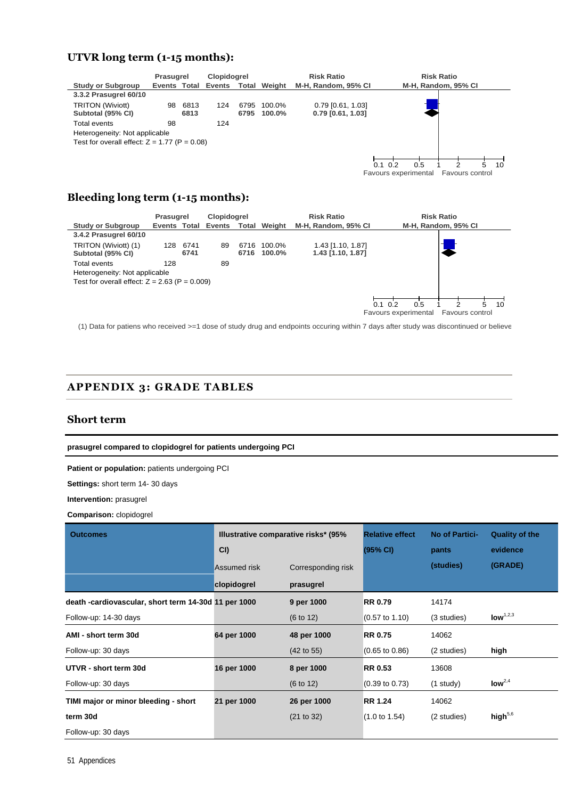#### **UTVR long term (1-15 months):**



#### **Bleeding long term (1-15 months):**

|                                                                                                  | Prasugrel |              | <b>Clopidogrel</b>  |              | <b>Risk Ratio</b> |                                        | <b>Risk Ratio</b>                                                       |
|--------------------------------------------------------------------------------------------------|-----------|--------------|---------------------|--------------|-------------------|----------------------------------------|-------------------------------------------------------------------------|
| <b>Study or Subgroup</b>                                                                         |           |              | Events Total Events | Total        | Weight            | M-H, Random, 95% CI                    | M-H, Random, 95% CI                                                     |
| 3.4.2 Prasugrel 60/10                                                                            |           |              |                     |              |                   |                                        |                                                                         |
| TRITON (Wiviott) (1)<br>Subtotal (95% CI)                                                        | 128       | 6741<br>6741 | 89                  | 6716<br>6716 | 100.0%<br>100.0%  | 1.43 [1.10, 1.87]<br>1.43 [1.10, 1.87] |                                                                         |
| Total events<br>Heterogeneity: Not applicable<br>Test for overall effect: $Z = 2.63$ (P = 0.009) | 128       |              | 89                  |              |                   |                                        |                                                                         |
|                                                                                                  |           |              |                     |              |                   |                                        | 5<br>0.2<br>0.5<br>10<br>0.1<br>Favours experimental<br>Favours control |

(1) Data for patiens who received >=1 dose of study drug and endpoints occuring within 7 days after study was discontinued or believe

#### **APPENDIX 3: GRADE TABLES**

#### **Short term**

**prasugrel compared to clopidogrel for patients undergoing PCI** 

**Patient or population:** patients undergoing PCI

**Settings:** short term 14- 30 days

**Intervention:** prasugrel

**Comparison:** clopidogrel

| <b>Outcomes</b>                                      | Illustrative comparative risks* (95%) |                       | <b>Relative effect</b>    | <b>No of Partici-</b> | <b>Quality of the</b> |
|------------------------------------------------------|---------------------------------------|-----------------------|---------------------------|-----------------------|-----------------------|
|                                                      | CI                                    |                       | (95% CI)                  | pants                 | evidence              |
|                                                      | Assumed risk                          | Corresponding risk    |                           | (studies)             | (GRADE)               |
|                                                      | clopidogrel                           | prasugrel             |                           |                       |                       |
| death -cardiovascular, short term 14-30d 11 per 1000 |                                       | 9 per 1000            | <b>RR 0.79</b>            | 14174                 |                       |
| Follow-up: 14-30 days                                |                                       | $(6 \text{ to } 12)$  | $(0.57 \text{ to } 1.10)$ | (3 studies)           | $\text{low}^{1,2,3}$  |
| AMI - short term 30d                                 | 64 per 1000                           | 48 per 1000           | <b>RR 0.75</b>            | 14062                 |                       |
| Follow-up: 30 days                                   |                                       | $(42 \text{ to } 55)$ | $(0.65 \text{ to } 0.86)$ | (2 studies)           | high                  |
| UTVR - short term 30d                                | 16 per 1000                           | 8 per 1000            | <b>RR 0.53</b>            | 13608                 |                       |
| Follow-up: 30 days                                   |                                       | $(6 \text{ to } 12)$  | $(0.39 \text{ to } 0.73)$ | $(1$ study)           | low <sup>2,4</sup>    |
| TIMI major or minor bleeding - short                 | 21 per 1000                           | 26 per 1000           | <b>RR 1.24</b>            | 14062                 |                       |
| term 30d                                             |                                       | (21 to 32)            | $(1.0 \text{ to } 1.54)$  | (2 studies)           | high <sup>5,6</sup>   |
| Follow-up: 30 days                                   |                                       |                       |                           |                       |                       |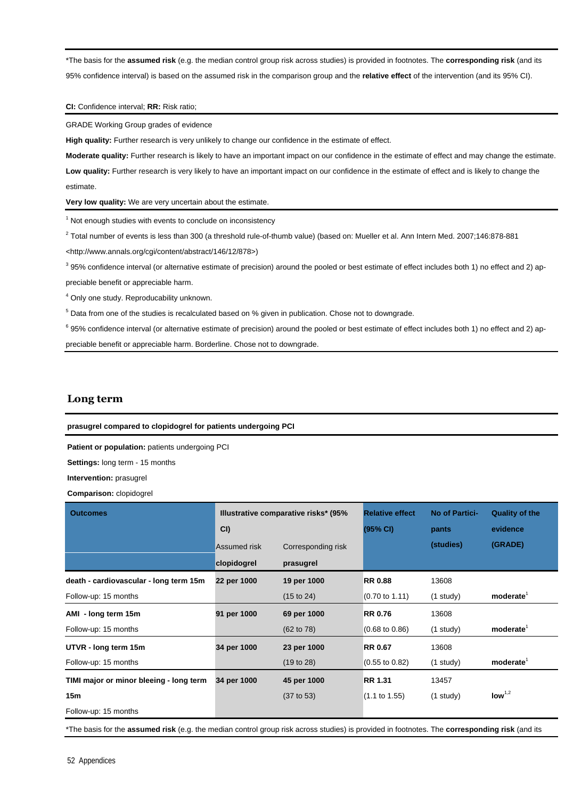\*The basis for the **assumed risk** (e.g. the median control group risk across studies) is provided in footnotes. The **corresponding risk** (and its 95% confidence interval) is based on the assumed risk in the comparison group and the **relative effect** of the intervention (and its 95% CI).

#### **CI:** Confidence interval; **RR:** Risk ratio;

GRADE Working Group grades of evidence

**High quality:** Further research is very unlikely to change our confidence in the estimate of effect.

**Moderate quality:** Further research is likely to have an important impact on our confidence in the estimate of effect and may change the estimate.

**Low quality:** Further research is very likely to have an important impact on our confidence in the estimate of effect and is likely to change the estimate.

**Very low quality:** We are very uncertain about the estimate.

<sup>1</sup> Not enough studies with events to conclude on inconsistency

 $^2$  Total number of events is less than 300 (a threshold rule-of-thumb value) (based on: Mueller et al. Ann Intern Med. 2007;146:878-881 <http://www.annals.org/cgi/content/abstract/146/12/878>)

 $3$  95% confidence interval (or alternative estimate of precision) around the pooled or best estimate of effect includes both 1) no effect and 2) appreciable benefit or appreciable harm.

<sup>4</sup> Only one study. Reproducability unknown.

 $5$  Data from one of the studies is recalculated based on % given in publication. Chose not to downgrade.

<sup>6</sup> 95% confidence interval (or alternative estimate of precision) around the pooled or best estimate of effect includes both 1) no effect and 2) appreciable benefit or appreciable harm. Borderline. Chose not to downgrade.

#### **Long term**

**prasugrel compared to clopidogrel for patients undergoing PCI** 

**Patient or population:** patients undergoing PCI

**Settings:** long term - 15 months

**Intervention:** prasugrel

**Comparison:** clopidogrel

| <b>Outcomes</b>                         | CI                          | Illustrative comparative risks* (95%) | <b>Relative effect</b><br>(95% CI) | <b>No of Partici-</b><br>pants | <b>Quality of the</b><br>evidence |
|-----------------------------------------|-----------------------------|---------------------------------------|------------------------------------|--------------------------------|-----------------------------------|
|                                         | Assumed risk<br>clopidogrel | Corresponding risk<br>prasugrel       |                                    | (studies)                      | (GRADE)                           |
| death - cardiovascular - long term 15m  | 22 per 1000                 | 19 per 1000                           | <b>RR 0.88</b>                     | 13608                          |                                   |
| Follow-up: 15 months                    |                             | (15 to 24)                            | $(0.70 \text{ to } 1.11)$          | $(1$ study)                    | moderate <sup>1</sup>             |
| AMI - long term 15m                     | 91 per 1000                 | 69 per 1000                           | <b>RR 0.76</b>                     | 13608                          |                                   |
| Follow-up: 15 months                    |                             | $(62 \text{ to } 78)$                 | $(0.68 \text{ to } 0.86)$          | $(1$ study)                    | moderate <sup>1</sup>             |
| UTVR - long term 15m                    | 34 per 1000                 | 23 per 1000                           | <b>RR 0.67</b>                     | 13608                          |                                   |
| Follow-up: 15 months                    |                             | (19 to 28)                            | $(0.55 \text{ to } 0.82)$          | $(1$ study)                    | moderate <sup>1</sup>             |
| TIMI major or minor bleeing - long term | 34 per 1000                 | 45 per 1000                           | <b>RR 1.31</b>                     | 13457                          |                                   |
| 15m                                     |                             | $(37 \text{ to } 53)$                 | $(1.1 \text{ to } 1.55)$           | $(1$ study)                    | $\text{low}^{1,2}$                |
| Follow-up: 15 months                    |                             |                                       |                                    |                                |                                   |

\*The basis for the **assumed risk** (e.g. the median control group risk across studies) is provided in footnotes. The **corresponding risk** (and its